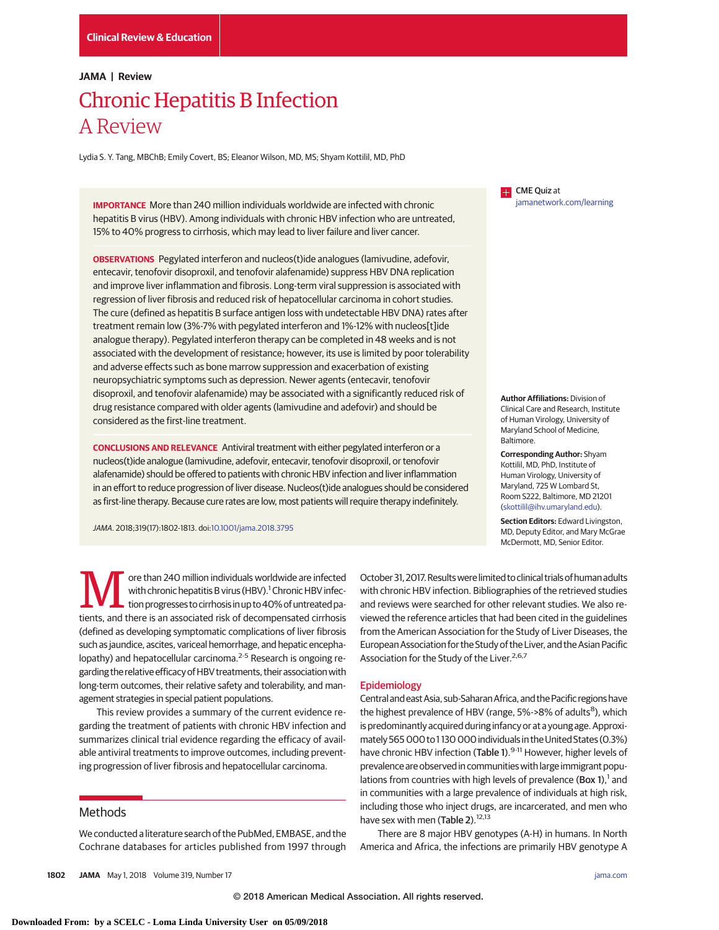# Chronic Hepatitis B Infection A Review **JAMA | Review**

Lydia S. Y. Tang, MBChB; Emily Covert, BS; Eleanor Wilson, MD, MS; Shyam Kottilil, MD, PhD

**IMPORTANCE** More than 240 million individuals worldwide are infected with chronic hepatitis B virus (HBV). Among individuals with chronic HBV infection who are untreated, 15% to 40% progress to cirrhosis, which may lead to liver failure and liver cancer.

**OBSERVATIONS** Pegylated interferon and nucleos(t)ide analogues (lamivudine, adefovir, entecavir, tenofovir disoproxil, and tenofovir alafenamide) suppress HBV DNA replication and improve liver inflammation and fibrosis. Long-term viral suppression is associated with regression of liver fibrosis and reduced risk of hepatocellular carcinoma in cohort studies. The cure (defined as hepatitis B surface antigen loss with undetectable HBV DNA) rates after treatment remain low (3%-7% with pegylated interferon and 1%-12% with nucleos[t]ide analogue therapy). Pegylated interferon therapy can be completed in 48 weeks and is not associated with the development of resistance; however, its use is limited by poor tolerability and adverse effects such as bone marrow suppression and exacerbation of existing neuropsychiatric symptoms such as depression. Newer agents (entecavir, tenofovir disoproxil, and tenofovir alafenamide) may be associated with a significantly reduced risk of drug resistance compared with older agents (lamivudine and adefovir) and should be considered as the first-line treatment.

**CONCLUSIONS AND RELEVANCE** Antiviral treatment with either pegylated interferon or a nucleos(t)ide analogue (lamivudine, adefovir, entecavir, tenofovir disoproxil, or tenofovir alafenamide) should be offered to patients with chronic HBV infection and liver inflammation in an effort to reduce progression of liver disease. Nucleos(t)ide analogues should be considered as first-line therapy. Because cure rates are low, most patients will require therapy indefinitely.

JAMA. 2018;319(17):1802-1813. doi[:10.1001/jama.2018.3795](https://jama.jamanetwork.com/article.aspx?doi=10.1001/jama.2018.3795&utm_campaign=articlePDF%26utm_medium=articlePDFlink%26utm_source=articlePDF%26utm_content=jama.2018.3795)

ore than 240 million individuals worldwide are infected with chronic hepatitis B virus (HBV).<sup>1</sup> Chronic HBV infection progresses tocirrhosis in up to40% of untreated patients, and there is an associated risk of decompensated cirrhosis (defined as developing symptomatic complications of liver fibrosis such as jaundice, ascites, variceal hemorrhage, and hepatic encephalopathy) and hepatocellular carcinoma.<sup>2-5</sup> Research is ongoing regarding the relative efficacy of HBV treatments, their association with long-term outcomes, their relative safety and tolerability, and management strategies in special patient populations.

This review provides a summary of the current evidence regarding the treatment of patients with chronic HBV infection and summarizes clinical trial evidence regarding the efficacy of available antiviral treatments to improve outcomes, including preventing progression of liver fibrosis and hepatocellular carcinoma.

## Methods

We conducted a literature search of the PubMed, EMBASE, and the Cochrane databases for articles published from 1997 through October 31, 2017. Results were limited to clinical trials of human adults with chronic HBV infection. Bibliographies of the retrieved studies and reviews were searched for other relevant studies. We also reviewed the reference articles that had been cited in the guidelines from the American Association for the Study of Liver Diseases, the European Association for the Study of the Liver, and the Asian Pacific Association for the Study of the Liver.<sup>2,6,7</sup>

#### Epidemiology

Central and east Asia, sub-Saharan Africa, and the Pacific regions have the highest prevalence of HBV (range, 5%->8% of adults<sup>8</sup>), which is predominantly acquired during infancy or at a young age. Approximately 565 000 to 1130 000 individuals in the United States (0.3%) have chronic HBV infection (Table 1).<sup>9-11</sup> However, higher levels of prevalence are observed in communities with large immigrant populations from countries with high levels of prevalence (Box 1),<sup>1</sup> and in communities with a large prevalence of individuals at high risk, including those who inject drugs, are incarcerated, and men who have sex with men (Table 2).<sup>12,13</sup>

There are 8 major HBV genotypes (A-H) in humans. In North America and Africa, the infections are primarily HBV genotype A

**CME** Ouiz at [jamanetwork.com/learning](http://www.jamanetwork.com/learning/?utm_campaign=articlePDF%26utm_medium=articlePDFlink%26utm_source=articlePDF%26utm_content=jama.2018.3795)

**Author Affiliations:** Division of Clinical Care and Research, Institute of Human Virology, University of Maryland School of Medicine, Baltimore.

**Corresponding Author:** Shyam Kottilil, MD, PhD, Institute of Human Virology, University of Maryland, 725 W Lombard St, Room S222, Baltimore, MD 21201 [\(skottilil@ihv.umaryland.edu\)](mailto:skottilil@ihv.umaryland.edu).

**Section Editors:** Edward Livingston, MD, Deputy Editor, and Mary McGrae McDermott, MD, Senior Editor.

**1802 JAMA** May 1, 2018 Volume 319, Number 17 **(Reprinted)** [jama.com](http://www.jama.com/?utm_campaign=articlePDF%26utm_medium=articlePDFlink%26utm_source=articlePDF%26utm_content=jama.2018.3795)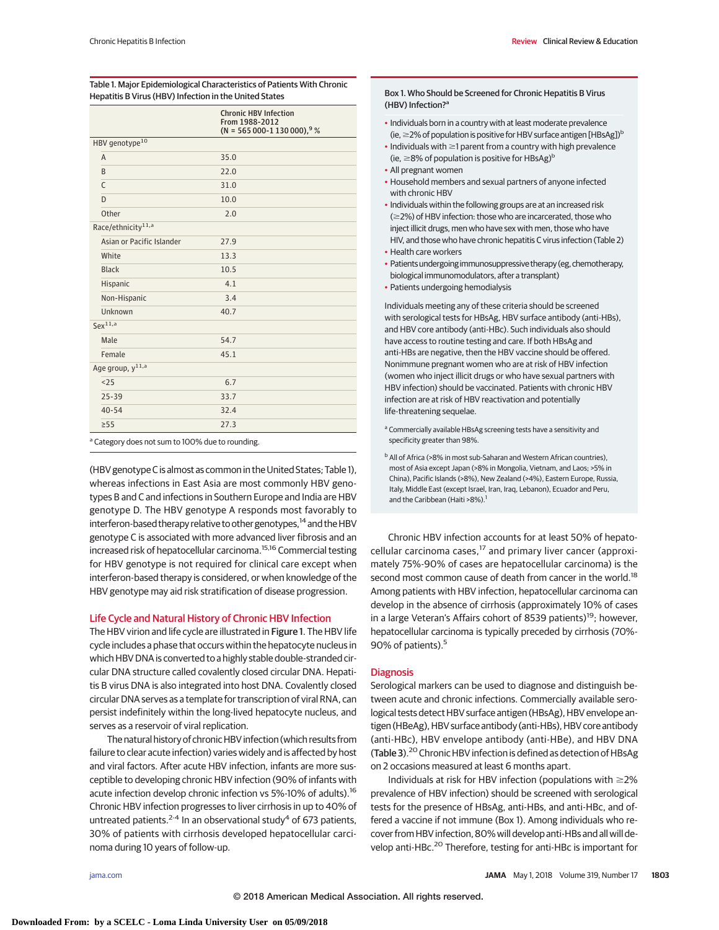|                                | <b>Chronic HBV Infection</b><br>From 1988-2012<br>$(N = 565000 - 1130000)^9$ % |
|--------------------------------|--------------------------------------------------------------------------------|
| HBV genotype <sup>10</sup>     |                                                                                |
| $\overline{A}$                 | 35.0                                                                           |
| B                              | 22.0                                                                           |
| $\mathsf{C}$                   | 31.0                                                                           |
| D                              | 10.0                                                                           |
| Other                          | 2.0                                                                            |
| Race/ethnicity <sup>11,a</sup> |                                                                                |
| Asian or Pacific Islander      | 27.9                                                                           |
| White                          | 13.3                                                                           |
| <b>Black</b>                   | 10.5                                                                           |
| Hispanic                       | 4.1                                                                            |
| Non-Hispanic                   | 3.4                                                                            |
| Unknown                        | 40.7                                                                           |
| $Sex^{11,a}$                   |                                                                                |
| Male                           | 54.7                                                                           |
| Female                         | 45.1                                                                           |
| Age group, y <sup>11,a</sup>   |                                                                                |
| < 25                           | 6.7                                                                            |
| $25 - 39$                      | 33.7                                                                           |
| $40 - 54$                      | 32.4                                                                           |
| >55                            | 27.3                                                                           |

Table 1. Major Epidemiological Characteristics of Patients With Chronic Hepatitis B Virus (HBV) Infection in the United States

<sup>a</sup> Category does not sum to 100% due to rounding.

(HBV genotype C is almost as common in the United States; Table 1), whereas infections in East Asia are most commonly HBV genotypes B and C and infections in Southern Europe and India are HBV genotype D. The HBV genotype A responds most favorably to interferon-based therapy relative to other genotypes,<sup>14</sup> and the HBV genotype C is associated with more advanced liver fibrosis and an increased risk of hepatocellular carcinoma.<sup>15,16</sup> Commercial testing for HBV genotype is not required for clinical care except when interferon-based therapy is considered, or when knowledge of the HBV genotype may aid risk stratification of disease progression.

## Life Cycle and Natural History of Chronic HBV Infection

The HBV virion and life cycle are illustrated in Figure 1. The HBV life cycle includes a phase that occurs within the hepatocyte nucleus in which HBV DNA is converted to a highly stable double-stranded circular DNA structure called covalently closed circular DNA. Hepatitis B virus DNA is also integrated into host DNA. Covalently closed circular DNA serves as a template for transcription of viral RNA, can persist indefinitely within the long-lived hepatocyte nucleus, and serves as a reservoir of viral replication.

The natural history of chronicHBV infection (which results from failure to clear acute infection) varies widely and is affected by host and viral factors. After acute HBV infection, infants are more susceptible to developing chronic HBV infection (90% of infants with acute infection develop chronic infection vs 5%-10% of adults).<sup>16</sup> Chronic HBV infection progresses to liver cirrhosis in up to 40% of untreated patients.<sup>2-4</sup> In an observational study<sup>4</sup> of 673 patients, 30% of patients with cirrhosis developed hepatocellular carcinoma during 10 years of follow-up.

Box 1. Who Should be Screened for Chronic Hepatitis B Virus (HBV) Infection?<sup>a</sup>

- Individuals born in a country with at least moderate prevalence (ie,  $\geq$ 2% of population is positive for HBV surface antigen [HBsAg])<sup>b</sup>
- $\cdot$  Individuals with  $\geq$ 1 parent from a country with high prevalence (ie,  $\geq$ 8% of population is positive for HBsAg)<sup>b</sup>
- All pregnant women
- Household members and sexual partners of anyone infected with chronic HBV
- Individuals within the following groups are at an increased risk  $(\geq$ 2%) of HBV infection: those who are incarcerated, those who inject illicit drugs, men who have sex with men, those who have HIV, and those who have chronic hepatitis C virus infection (Table 2) • Health care workers
- 
- Patients undergoing immunosuppressive therapy (eg, chemotherapy, biological immunomodulators, after a transplant)
- Patients undergoing hemodialysis

Individuals meeting any of these criteria should be screened with serological tests for HBsAg, HBV surface antibody (anti-HBs), and HBV core antibody (anti-HBc). Such individuals also should have access to routine testing and care. If both HBsAg and anti-HBs are negative, then the HBV vaccine should be offered. Nonimmune pregnant women who are at risk of HBV infection (women who inject illicit drugs or who have sexual partners with HBV infection) should be vaccinated. Patients with chronic HBV infection are at risk of HBV reactivation and potentially life-threatening sequelae.

- a Commercially available HBsAg screening tests have a sensitivity and specificity greater than 98%.
- <sup>b</sup> All of Africa (>8% in most sub-Saharan and Western African countries), most of Asia except Japan (>8% in Mongolia, Vietnam, and Laos; >5% in China), Pacific Islands (>8%), New Zealand (>4%), Eastern Europe, Russia, Italy, Middle East (except Israel, Iran, Iraq, Lebanon), Ecuador and Peru, and the Caribbean (Haiti >8%).<sup>1</sup>

Chronic HBV infection accounts for at least 50% of hepatocellular carcinoma cases, $17$  and primary liver cancer (approximately 75%-90% of cases are hepatocellular carcinoma) is the second most common cause of death from cancer in the world.<sup>18</sup> Among patients with HBV infection, hepatocellular carcinoma can develop in the absence of cirrhosis (approximately 10% of cases in a large Veteran's Affairs cohort of 8539 patients)<sup>19</sup>; however, hepatocellular carcinoma is typically preceded by cirrhosis (70%- 90% of patients).<sup>5</sup>

#### **Diagnosis**

Serological markers can be used to diagnose and distinguish between acute and chronic infections. Commercially available serological tests detect HBV surface antigen (HBsAg), HBV envelope antigen (HBeAg), HBV surface antibody (anti-HBs), HBV core antibody (anti-HBc), HBV envelope antibody (anti-HBe), and HBV DNA (Table 3).20 Chronic HBV infection is defined as detection of HBsAg on 2 occasions measured at least 6 months apart.

Individuals at risk for HBV infection (populations with  $\geq$ 2% prevalence of HBV infection) should be screened with serological tests for the presence of HBsAg, anti-HBs, and anti-HBc, and offered a vaccine if not immune (Box 1). Among individuals who recover from HBV infection, 80% will develop anti-HBs and all will develop anti-HBc.<sup>20</sup> Therefore, testing for anti-HBc is important for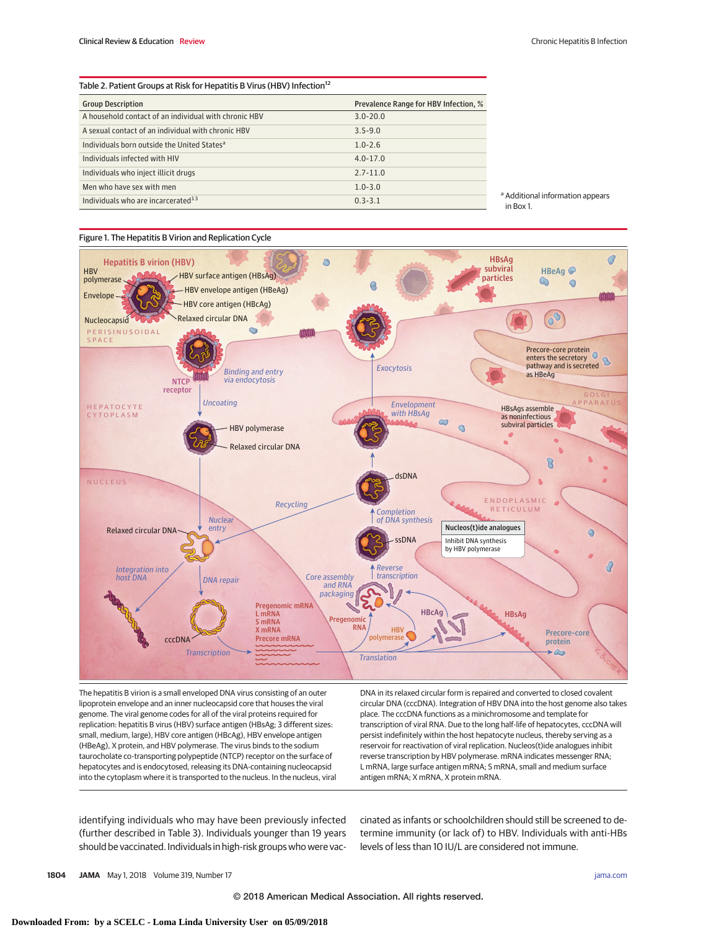| Table 2. Patient Groups at Risk for Hepatitis B Virus (HBV) Infection <sup>12</sup> |                                       |
|-------------------------------------------------------------------------------------|---------------------------------------|
| <b>Group Description</b>                                                            | Prevalence Range for HBV Infection, % |
| A household contact of an individual with chronic HBV                               | $3.0 - 20.0$                          |
| A sexual contact of an individual with chronic HBV                                  | $3.5 - 9.0$                           |
| Individuals born outside the United States <sup>a</sup>                             | $1.0 - 2.6$                           |
| Individuals infected with HIV                                                       | $4.0 - 17.0$                          |
| Individuals who inject illicit drugs                                                | $2.7 - 11.0$                          |
| Men who have sex with men                                                           | $1.0 - 3.0$                           |
| Individuals who are incarcerated $^{13}$                                            | $0.3 - 3.1$                           |

<sup>a</sup> Additional information appears in Box 1.



The hepatitis B virion is a small enveloped DNA virus consisting of an outer lipoprotein envelope and an inner nucleocapsid core that houses the viral genome. The viral genome codes for all of the viral proteins required for replication: hepatitis B virus (HBV) surface antigen (HBsAg; 3 different sizes: small, medium, large), HBV core antigen (HBcAg), HBV envelope antigen (HBeAg), X protein, and HBV polymerase. The virus binds to the sodium taurocholate co-transporting polypeptide (NTCP) receptor on the surface of hepatocytes and is endocytosed, releasing its DNA-containing nucleocapsid into the cytoplasm where it is transported to the nucleus. In the nucleus, viral DNA in its relaxed circular form is repaired and converted to closed covalent circular DNA (cccDNA). Integration of HBV DNA into the host genome also takes place. The cccDNA functions as a minichromosome and template for transcription of viral RNA. Due to the long half-life of hepatocytes, cccDNA will persist indefinitely within the host hepatocyte nucleus, thereby serving as a reservoir for reactivation of viral replication. Nucleos(t)ide analogues inhibit reverse transcription by HBV polymerase. mRNA indicates messenger RNA; L mRNA, large surface antigen mRNA; S mRNA, small and medium surface antigen mRNA; X mRNA, X protein mRNA.

identifying individuals who may have been previously infected (further described in Table 3). Individuals younger than 19 years should be vaccinated. Individuals in high-risk groups who were vaccinated as infants or schoolchildren should still be screened to determine immunity (or lack of) to HBV. Individuals with anti-HBs levels of less than 10 IU/L are considered not immune.

© 2018 American Medical Association. All rights reserved.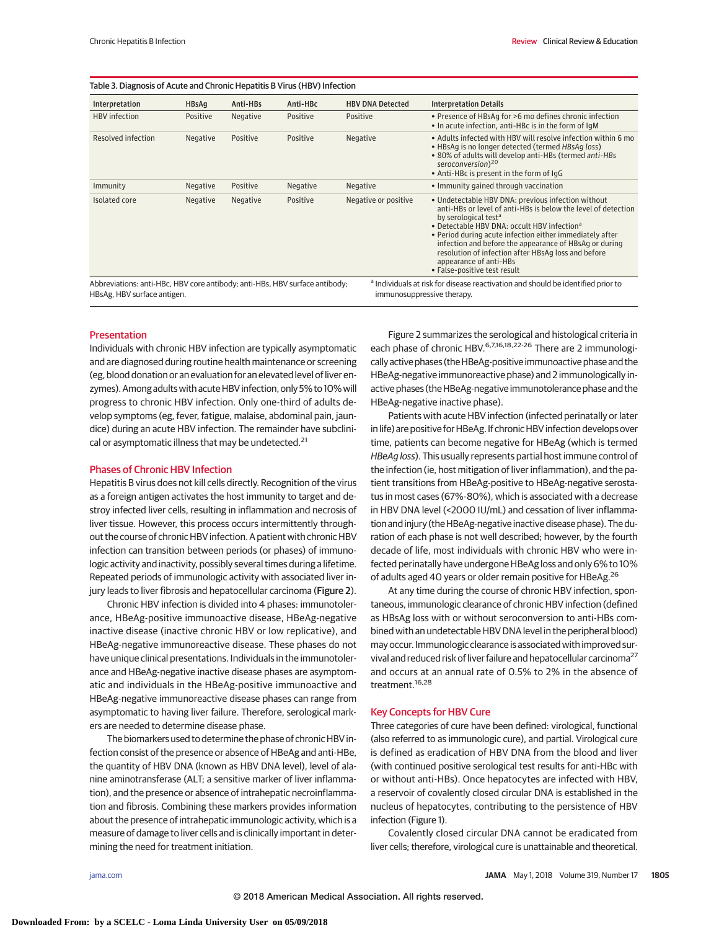| Interpretation                                                              | <b>HBsAq</b> | Anti-HBs | Anti-HBc | <b>HBV DNA Detected</b>    | <b>Interpretation Details</b>                                                                                                                                                                                                                                                                                                                                                                                                                             |
|-----------------------------------------------------------------------------|--------------|----------|----------|----------------------------|-----------------------------------------------------------------------------------------------------------------------------------------------------------------------------------------------------------------------------------------------------------------------------------------------------------------------------------------------------------------------------------------------------------------------------------------------------------|
| <b>HBV</b> infection                                                        | Positive     | Negative | Positive | Positive                   | • Presence of HBsAq for >6 mo defines chronic infection<br>• In acute infection, anti-HBc is in the form of IqM                                                                                                                                                                                                                                                                                                                                           |
| Resolved infection                                                          | Negative     | Positive | Positive | Negative                   | • Adults infected with HBV will resolve infection within 6 mo<br>• HBsAg is no longer detected (termed HBsAg loss)<br>• 80% of adults will develop anti-HBs (termed anti-HBs<br>seroconversion) <sup>20</sup><br>• Anti-HBc is present in the form of IqG                                                                                                                                                                                                 |
| Immunity                                                                    | Negative     | Positive | Negative | Negative                   | • Immunity gained through vaccination                                                                                                                                                                                                                                                                                                                                                                                                                     |
| Isolated core                                                               | Negative     | Negative | Positive | Negative or positive       | • Undetectable HBV DNA: previous infection without<br>anti-HBs or level of anti-HBs is below the level of detection<br>by serological test <sup>a</sup><br>• Detectable HBV DNA: occult HBV infection <sup>a</sup><br>• Period during acute infection either immediately after<br>infection and before the appearance of HBsAg or during<br>resolution of infection after HBsAq loss and before<br>appearance of anti-HBs<br>• False-positive test result |
| Abbreviations: anti-HBc, HBV core antibody; anti-HBs, HBV surface antibody; |              |          |          |                            | <sup>a</sup> Individuals at risk for disease reactivation and should be identified prior to                                                                                                                                                                                                                                                                                                                                                               |
| HBsAg, HBV surface antigen.                                                 |              |          |          | immunosuppressive therapy. |                                                                                                                                                                                                                                                                                                                                                                                                                                                           |

## Presentation

Individuals with chronic HBV infection are typically asymptomatic and are diagnosed during routine health maintenance or screening (eg, blood donation or an evaluation for an elevated level of liver enzymes). Among adults with acute HBV infection, only 5% to 10% will progress to chronic HBV infection. Only one-third of adults develop symptoms (eg, fever, fatigue, malaise, abdominal pain, jaundice) during an acute HBV infection. The remainder have subclinical or asymptomatic illness that may be undetected.<sup>21</sup>

#### Phases of Chronic HBV Infection

Hepatitis B virus does not kill cells directly. Recognition of the virus as a foreign antigen activates the host immunity to target and destroy infected liver cells, resulting in inflammation and necrosis of liver tissue. However, this process occurs intermittently throughout the course of chronic HBV infection. A patient with chronic HBV infection can transition between periods (or phases) of immunologic activity and inactivity, possibly several times during a lifetime. Repeated periods of immunologic activity with associated liver injury leads to liver fibrosis and hepatocellular carcinoma (Figure 2).

Chronic HBV infection is divided into 4 phases: immunotolerance, HBeAg-positive immunoactive disease, HBeAg-negative inactive disease (inactive chronic HBV or low replicative), and HBeAg-negative immunoreactive disease. These phases do not have unique clinical presentations. Individuals in the immunotolerance and HBeAg-negative inactive disease phases are asymptomatic and individuals in the HBeAg-positive immunoactive and HBeAg-negative immunoreactive disease phases can range from asymptomatic to having liver failure. Therefore, serological markers are needed to determine disease phase.

The biomarkers used to determine the phase of chronic HBV infection consist of the presence or absence of HBeAg and anti-HBe, the quantity of HBV DNA (known as HBV DNA level), level of alanine aminotransferase (ALT; a sensitive marker of liver inflammation), and the presence or absence of intrahepatic necroinflammation and fibrosis. Combining these markers provides information about the presence of intrahepatic immunologic activity, which is a measure of damage to liver cells and is clinically important in determining the need for treatment initiation.

Figure 2 summarizes the serological and histological criteria in each phase of chronic HBV.<sup>6,7,16,18,22-26</sup> There are 2 immunologically active phases (the HBeAg-positive immunoactive phase and the HBeAg-negative immunoreactive phase) and 2 immunologically inactive phases (the HBeAg-negative immunotolerance phase and the HBeAg-negative inactive phase).

Patients with acute HBV infection (infected perinatally or later in life) are positive for HBeAg. If chronic HBV infection develops over time, patients can become negative for HBeAg (which is termed HBeAg loss). This usually represents partial host immune control of the infection (ie, host mitigation of liver inflammation), and the patient transitions from HBeAg-positive to HBeAg-negative serostatus in most cases (67%-80%), which is associated with a decrease in HBV DNA level (<2000 IU/mL) and cessation of liver inflammation and injury (the HBeAg-negative inactive disease phase). The duration of each phase is not well described; however, by the fourth decade of life, most individuals with chronic HBV who were infected perinatally have undergone HBeAg loss and only 6% to 10% of adults aged 40 years or older remain positive for HBeAg.<sup>26</sup>

At any time during the course of chronic HBV infection, spontaneous, immunologic clearance of chronic HBV infection (defined as HBsAg loss with or without seroconversion to anti-HBs combined with an undetectable HBV DNA level in the peripheral blood) may occur. Immunologic clearance is associated with improved survival and reduced risk of liver failure and hepatocellular carcinoma<sup>27</sup> and occurs at an annual rate of 0.5% to 2% in the absence of treatment.<sup>16,28</sup>

#### Key Concepts for HBV Cure

Three categories of cure have been defined: virological, functional (also referred to as immunologic cure), and partial. Virological cure is defined as eradication of HBV DNA from the blood and liver (with continued positive serological test results for anti-HBc with or without anti-HBs). Once hepatocytes are infected with HBV, a reservoir of covalently closed circular DNA is established in the nucleus of hepatocytes, contributing to the persistence of HBV infection (Figure 1).

Covalently closed circular DNA cannot be eradicated from liver cells; therefore, virological cure is unattainable and theoretical.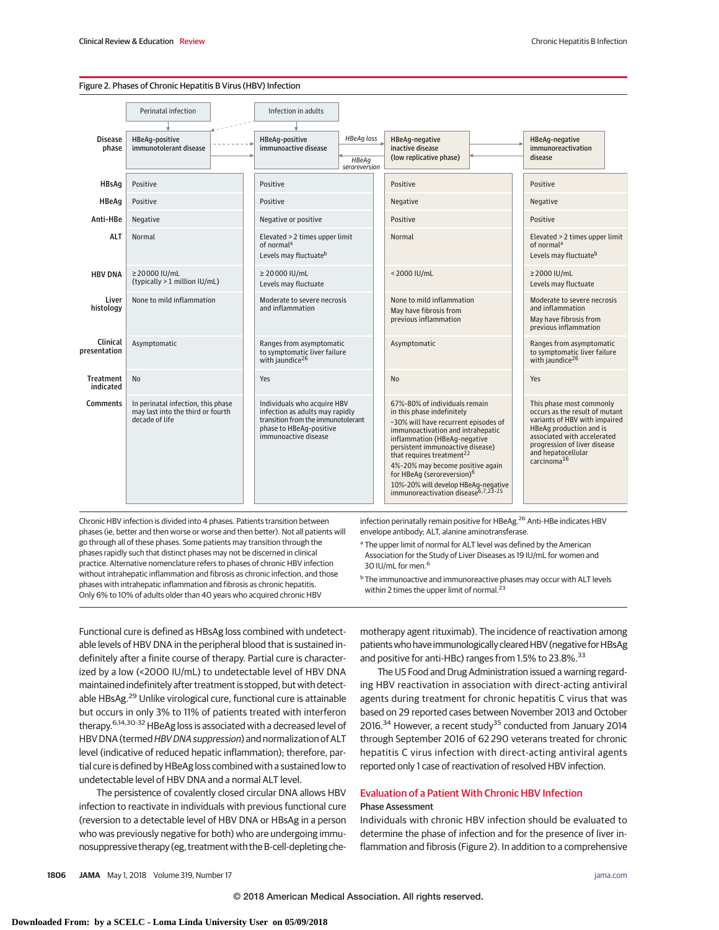#### Figure 2. Phases of Chronic Hepatitis B Virus (HBV) Infection

|                               | Perinatal infection                                                                       | Infection in adults                                                                                                                                     |                                                                                                                                                                                                                                                                                                                                                                                                                               |                                                                                                                                                                                                                                        |
|-------------------------------|-------------------------------------------------------------------------------------------|---------------------------------------------------------------------------------------------------------------------------------------------------------|-------------------------------------------------------------------------------------------------------------------------------------------------------------------------------------------------------------------------------------------------------------------------------------------------------------------------------------------------------------------------------------------------------------------------------|----------------------------------------------------------------------------------------------------------------------------------------------------------------------------------------------------------------------------------------|
|                               |                                                                                           |                                                                                                                                                         |                                                                                                                                                                                                                                                                                                                                                                                                                               |                                                                                                                                                                                                                                        |
| <b>Disease</b><br>phase       | HBeAq-positive<br>immunotolerant disease                                                  | <b>HBeAg loss</b><br>HBeAq-positive<br>immunoactive disease<br>HBeAa<br>seroreversion                                                                   | HBeAq-negative<br>inactive disease<br>(low replicative phase)                                                                                                                                                                                                                                                                                                                                                                 | HBeAq-negative<br>immunoreactivation<br>disease                                                                                                                                                                                        |
| <b>HBsAg</b>                  | Positive                                                                                  | Positive                                                                                                                                                | Positive                                                                                                                                                                                                                                                                                                                                                                                                                      | Positive                                                                                                                                                                                                                               |
| <b>HBeAg</b>                  | Positive                                                                                  | Positive                                                                                                                                                | Negative                                                                                                                                                                                                                                                                                                                                                                                                                      | Negative                                                                                                                                                                                                                               |
|                               |                                                                                           |                                                                                                                                                         |                                                                                                                                                                                                                                                                                                                                                                                                                               |                                                                                                                                                                                                                                        |
| Anti-HBe                      | Negative                                                                                  | Negative or positive                                                                                                                                    | Positive                                                                                                                                                                                                                                                                                                                                                                                                                      | Positive                                                                                                                                                                                                                               |
| <b>ALT</b>                    | Normal                                                                                    | Elevated > 2 times upper limit<br>of normal <sup>a</sup><br>Levels may fluctuate <sup>b</sup>                                                           | Normal                                                                                                                                                                                                                                                                                                                                                                                                                        | Elevated > 2 times upper limit<br>of normal <sup>a</sup><br>Levels may fluctuate <sup>b</sup>                                                                                                                                          |
| <b>HBV DNA</b>                | $\geq$ 20000 IU/mL<br>(typically > 1 million IU/mL)                                       | ≥ 20000 IU/mL<br>Levels may fluctuate                                                                                                                   | <2000 IU/mL                                                                                                                                                                                                                                                                                                                                                                                                                   | $\geq$ 2000 IU/mL<br>Levels may fluctuate                                                                                                                                                                                              |
| Liver<br>histology            | None to mild inflammation                                                                 | Moderate to severe necrosis<br>and inflammation                                                                                                         | None to mild inflammation<br>May have fibrosis from<br>previous inflammation                                                                                                                                                                                                                                                                                                                                                  | Moderate to severe necrosis<br>and inflammation<br>May have fibrosis from<br>previous inflammation                                                                                                                                     |
| Clinical<br>presentation      | Asymptomatic                                                                              | Ranges from asymptomatic<br>to symptomatic liver failure<br>with jaundice <sup>26</sup>                                                                 | Asymptomatic                                                                                                                                                                                                                                                                                                                                                                                                                  | Ranges from asymptomatic<br>to symptomatic liver failure<br>with jaundice <sup>26</sup>                                                                                                                                                |
| <b>Treatment</b><br>indicated | <b>No</b>                                                                                 | Yes                                                                                                                                                     | N <sub>0</sub>                                                                                                                                                                                                                                                                                                                                                                                                                | Yes                                                                                                                                                                                                                                    |
| <b>Comments</b>               | In perinatal infection, this phase<br>may last into the third or fourth<br>decade of life | Individuals who acquire HBV<br>infection as adults may rapidly<br>transition from the immunotolerant<br>phase to HBeAg-positive<br>immunoactive disease | 67%-80% of individuals remain<br>in this phase indefinitely<br>~30% will have recurrent episodes of<br>immunoactivation and intrahepatic<br>inflammation (HBeAg-negative<br>persistent immunoactive disease)<br>that requires treatment <sup>22</sup><br>4%-20% may become positive again<br>for HBeAg (seroreversion) <sup>6</sup><br>10%-20% will develop HBeAg-negative<br>immunoreactivation disease <sup>6,7,23-25</sup> | This phase most commonly<br>occurs as the result of mutant<br>variants of HBV with impaired<br>HBeAg production and is<br>associated with accelerated<br>progression of liver disease<br>and hepatocellular<br>carcinoma <sup>16</sup> |
|                               |                                                                                           |                                                                                                                                                         |                                                                                                                                                                                                                                                                                                                                                                                                                               |                                                                                                                                                                                                                                        |

Chronic HBV infection is divided into 4 phases. Patients transition between phases (ie, better and then worse or worse and then better). Not all patients will go through all of these phases. Some patients may transition through the phases rapidly such that distinct phases may not be discerned in clinical practice. Alternative nomenclature refers to phases of chronic HBV infection without intrahepatic inflammation and fibrosis as chronic infection, and those phases with intrahepatic inflammation and fibrosis as chronic hepatitis. Only 6% to 10% of adults older than 40 years who acquired chronic HBV

infection perinatally remain positive for HBeAg.26 Anti-HBe indicates HBV envelope antibody; ALT, alanine aminotransferase.

<sup>a</sup> The upper limit of normal for ALT level was defined by the American Association for the Study of Liver Diseases as 19 IU/mL for women and 30 IU/mL for men.<sup>6</sup>

<sup>b</sup> The immunoactive and immunoreactive phases may occur with ALT levels within 2 times the upper limit of normal.<sup>23</sup>

Functional cure is defined as HBsAg loss combined with undetectable levels of HBV DNA in the peripheral blood that is sustained indefinitely after a finite course of therapy. Partial cure is characterized by a low (<2000 IU/mL) to undetectable level of HBV DNA maintained indefinitely after treatment is stopped, but with detectable HBsAg.<sup>29</sup> Unlike virological cure, functional cure is attainable but occurs in only 3% to 11% of patients treated with interferon therapy.<sup>6,14,30-32</sup> HBeAg loss is associated with a decreased level of HBV DNA (termed HBV DNA suppression) and normalization of ALT level (indicative of reduced hepatic inflammation); therefore, partial cure is defined by HBeAg loss combined with a sustained low to undetectable level of HBV DNA and a normal ALT level.

The persistence of covalently closed circular DNA allows HBV infection to reactivate in individuals with previous functional cure (reversion to a detectable level of HBV DNA or HBsAg in a person who was previously negative for both) who are undergoing immunosuppressive therapy (eg, treatment with the B-cell-depleting chemotherapy agent rituximab). The incidence of reactivation among patients who have immunologically cleared HBV (negative for HBsAg and positive for anti-HBc) ranges from 1.5% to 23.8%.<sup>33</sup>

The US Food and Drug Administration issued a warning regarding HBV reactivation in association with direct-acting antiviral agents during treatment for chronic hepatitis C virus that was based on 29 reported cases between November 2013 and October 2016.<sup>34</sup> However, a recent study<sup>35</sup> conducted from January 2014 through September 2016 of 62 290 veterans treated for chronic hepatitis C virus infection with direct-acting antiviral agents reported only 1 case of reactivation of resolved HBV infection.

## Evaluation of a Patient With Chronic HBV Infection Phase Assessment

Individuals with chronic HBV infection should be evaluated to determine the phase of infection and for the presence of liver inflammation and fibrosis (Figure 2). In addition to a comprehensive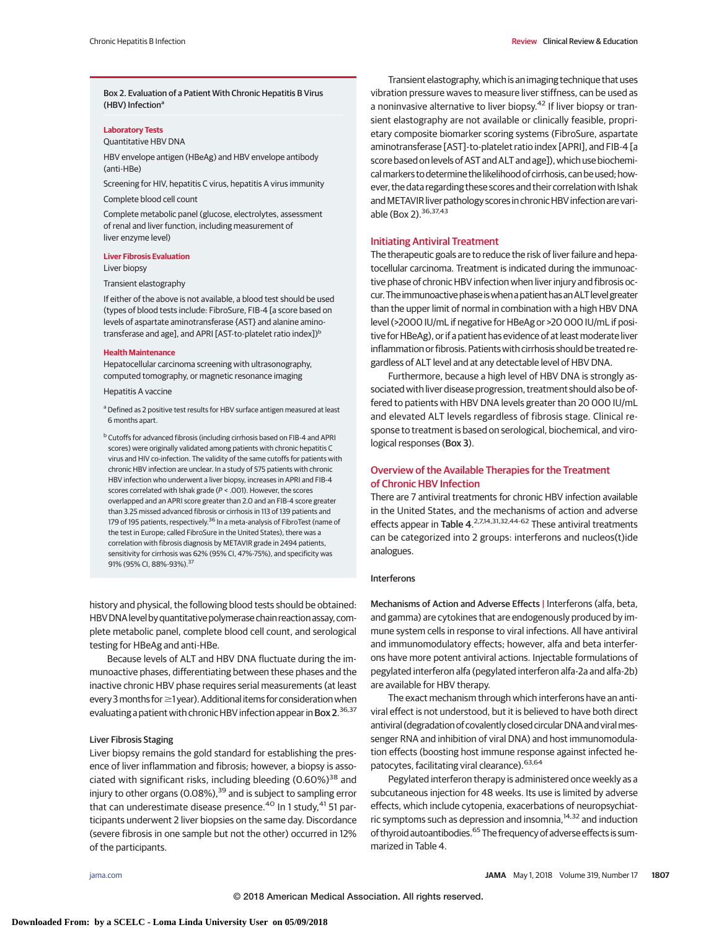Box 2. Evaluation of a Patient With Chronic Hepatitis B Virus (HBV) Infection<sup>a</sup>

#### **Laboratory Tests**

Quantitative HBV DNA

HBV envelope antigen (HBeAg) and HBV envelope antibody (anti-HBe)

Screening for HIV, hepatitis C virus, hepatitis A virus immunity

Complete blood cell count

Complete metabolic panel (glucose, electrolytes, assessment of renal and liver function, including measurement of liver enzyme level)

**Liver Fibrosis Evaluation**

Liver biopsy

#### Transient elastography

If either of the above is not available, a blood test should be used (types of blood tests include: FibroSure, FIB-4 [a score based on levels of aspartate aminotransferase {AST} and alanine aminotransferase and age], and APRI [AST-to-platelet ratio index])<sup>b</sup>

#### **Health Maintenance**

Hepatocellular carcinoma screening with ultrasonography, computed tomography, or magnetic resonance imaging

#### Hepatitis A vaccine

<sup>a</sup> Defined as 2 positive test results for HBV surface antigen measured at least 6 months apart.

<sup>b</sup> Cutoffs for advanced fibrosis (including cirrhosis based on FIB-4 and APRI scores) were originally validated among patients with chronic hepatitis C virus and HIV co-infection. The validity of the same cutoffs for patients with chronic HBV infection are unclear. In a study of 575 patients with chronic HBV infection who underwent a liver biopsy, increases in APRI and FIB-4 scores correlated with Ishak grade (P < .001). However, the scores overlapped and an APRI score greater than 2.0 and an FIB-4 score greater than 3.25 missed advanced fibrosis or cirrhosis in 113 of 139 patients and 179 of 195 patients, respectively.<sup>36</sup> In a meta-analysis of FibroTest (name of the test in Europe; called FibroSure in the United States), there was a correlation with fibrosis diagnosis by METAVIR grade in 2494 patients, sensitivity for cirrhosis was 62% (95% CI, 47%-75%), and specificity was 91% (95% CI, 88%-93%).<sup>37</sup>

history and physical, the following blood tests should be obtained: HBV DNA level by quantitative polymerase chain reaction assay, complete metabolic panel, complete blood cell count, and serological testing for HBeAg and anti-HBe.

Because levels of ALT and HBV DNA fluctuate during the immunoactive phases, differentiating between these phases and the inactive chronic HBV phase requires serial measurements (at least every 3 months for ≥1 year). Additional items for consideration when evaluating a patient with chronic HBV infection appear in **Box 2**.<sup>36,37</sup>

#### Liver Fibrosis Staging

Liver biopsy remains the gold standard for establishing the presence of liver inflammation and fibrosis; however, a biopsy is associated with significant risks, including bleeding  $(0.60\%)^{38}$  and injury to other organs (0.08%),<sup>39</sup> and is subject to sampling error that can underestimate disease presence.<sup>40</sup> In 1 study,<sup>41</sup> 51 participants underwent 2 liver biopsies on the same day. Discordance (severe fibrosis in one sample but not the other) occurred in 12% of the participants.

Transient elastography, which is an imaging technique that uses vibration pressure waves to measure liver stiffness, can be used as a noninvasive alternative to liver biopsy.<sup>42</sup> If liver biopsy or transient elastography are not available or clinically feasible, proprietary composite biomarker scoring systems (FibroSure, aspartate aminotransferase [AST]-to-platelet ratio index [APRI], and FIB-4 [a score based on levels of AST and ALT and age]), which use biochemicalmarkers to determine the likelihood of cirrhosis, can be used; however, the data regarding these scores and their correlation with Ishak and METAVIR liver pathology scores in chronic HBV infection are variable (Box 2).  $36,37,43$ 

#### Initiating Antiviral Treatment

The therapeutic goals are to reduce the risk of liver failure and hepatocellular carcinoma. Treatment is indicated during the immunoactive phase of chronic HBV infection when liver injury and fibrosis occur. The immunoactive phase is when a patient has an ALT level greater than the upper limit of normal in combination with a high HBV DNA level (>2000 IU/mL if negative for HBeAg or >20 000 IU/mL if positive for HBeAg), or if a patient has evidence of at least moderate liver inflammation or fibrosis. Patients with cirrhosis should be treated regardless of ALT level and at any detectable level of HBV DNA.

Furthermore, because a high level of HBV DNA is strongly associated with liver disease progression, treatment should also be offered to patients with HBV DNA levels greater than 20 000 IU/mL and elevated ALT levels regardless of fibrosis stage. Clinical response to treatment is based on serological, biochemical, and virological responses (Box 3).

## Overview of the Available Therapies for the Treatment of Chronic HBV Infection

There are 7 antiviral treatments for chronic HBV infection available in the United States, and the mechanisms of action and adverse effects appear in **Table 4**.<sup>2,7,14,31,32,44-62 These antiviral treatments</sup> can be categorized into 2 groups: interferons and nucleos(t)ide analogues.

#### Interferons

Mechanisms of Action and Adverse Effects | Interferons (alfa, beta, and gamma) are cytokines that are endogenously produced by immune system cells in response to viral infections. All have antiviral and immunomodulatory effects; however, alfa and beta interferons have more potent antiviral actions. Injectable formulations of pegylated interferon alfa (pegylated interferon alfa-2a and alfa-2b) are available for HBV therapy.

The exact mechanism through which interferons have an antiviral effect is not understood, but it is believed to have both direct antiviral (degradation of covalently closed circular DNA and viral messenger RNA and inhibition of viral DNA) and host immunomodulation effects (boosting host immune response against infected hepatocytes, facilitating viral clearance).63,64

Pegylated interferon therapy is administered once weekly as a subcutaneous injection for 48 weeks. Its use is limited by adverse effects, which include cytopenia, exacerbations of neuropsychiatric symptoms such as depression and insomnia,<sup>14,32</sup> and induction of thyroid autoantibodies.<sup>65</sup> The frequency of adverse effects is summarized in Table 4.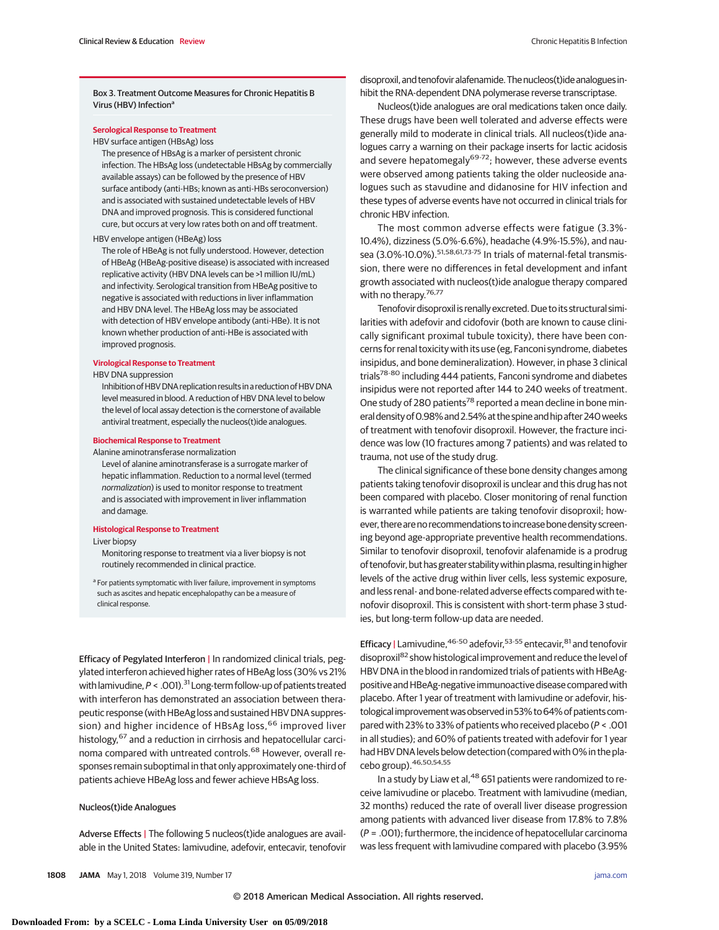Box 3. Treatment Outcome Measures for Chronic Hepatitis B Virus (HBV) Infection<sup>a</sup>

#### **Serological Response to Treatment**

HBV surface antigen (HBsAg) loss

The presence of HBsAg is a marker of persistent chronic infection. The HBsAg loss (undetectable HBsAg by commercially available assays) can be followed by the presence of HBV surface antibody (anti-HBs; known as anti-HBs seroconversion) and is associated with sustained undetectable levels of HBV DNA and improved prognosis. This is considered functional cure, but occurs at very low rates both on and off treatment.

#### HBV envelope antigen (HBeAg) loss

The role of HBeAg is not fully understood. However, detection of HBeAg (HBeAg-positive disease) is associated with increased replicative activity (HBV DNA levels can be >1 million IU/mL) and infectivity. Serological transition from HBeAg positive to negative is associated with reductions in liver inflammation and HBV DNA level. The HBeAg loss may be associated with detection of HBV envelope antibody (anti-HBe). It is not known whether production of anti-HBe is associated with improved prognosis.

#### **Virological Response to Treatment**

#### HBV DNA suppression

Inhibition of HBV DNA replication results in a reduction of HBV DNA level measured in blood. A reduction of HBV DNA level to below the level of local assay detection is the cornerstone of available antiviral treatment, especially the nucleos(t)ide analogues.

#### **Biochemical Response to Treatment**

Alanine aminotransferase normalization

Level of alanine aminotransferase is a surrogate marker of hepatic inflammation. Reduction to a normal level (termed normalization) is used to monitor response to treatment and is associated with improvement in liver inflammation and damage.

#### **Histological Response to Treatment**

Liver biopsy

Monitoring response to treatment via a liver biopsy is not routinely recommended in clinical practice.

<sup>a</sup> For patients symptomatic with liver failure, improvement in symptoms such as ascites and hepatic encephalopathy can be a measure of clinical response.

Efficacy of Pegylated Interferon | In randomized clinical trials, pegylated interferon achieved higher rates of HBeAg loss (30% vs 21% with lamivudine,  $P < .001$ ).<sup>31</sup> Long-term follow-up of patients treated with interferon has demonstrated an association between therapeutic response (with HBeAg loss and sustained HBV DNA suppression) and higher incidence of HBsAg loss, <sup>66</sup> improved liver histology, <sup>67</sup> and a reduction in cirrhosis and hepatocellular carcinoma compared with untreated controls.<sup>68</sup> However, overall responses remain suboptimal in that only approximately one-third of patients achieve HBeAg loss and fewer achieve HBsAg loss.

#### Nucleos(t)ide Analogues

Adverse Effects | The following 5 nucleos(t)ide analogues are available in the United States: lamivudine, adefovir, entecavir, tenofovir disoproxil,and tenofoviralafenamide. The nucleos(t)ideanaloguesinhibit the RNA-dependent DNA polymerase reverse transcriptase.

Nucleos(t)ide analogues are oral medications taken once daily. These drugs have been well tolerated and adverse effects were generally mild to moderate in clinical trials. All nucleos(t)ide analogues carry a warning on their package inserts for lactic acidosis and severe hepatomegaly $69-72$ ; however, these adverse events were observed among patients taking the older nucleoside analogues such as stavudine and didanosine for HIV infection and these types of adverse events have not occurred in clinical trials for chronic HBV infection.

The most common adverse effects were fatigue (3.3%- 10.4%), dizziness (5.0%-6.6%), headache (4.9%-15.5%), and nausea (3.0%-10.0%).<sup>51,58,61,73-75</sup> In trials of maternal-fetal transmission, there were no differences in fetal development and infant growth associated with nucleos(t)ide analogue therapy compared with no therapy.<sup>76,77</sup>

Tenofovir disoproxil is renally excreted. Due to its structural similarities with adefovir and cidofovir (both are known to cause clinically significant proximal tubule toxicity), there have been concerns for renal toxicity with its use (eg, Fanconi syndrome, diabetes insipidus, and bone demineralization). However, in phase 3 clinical trials<sup>78-80</sup> including 444 patients, Fanconi syndrome and diabetes insipidus were not reported after 144 to 240 weeks of treatment. One study of 280 patients<sup>78</sup> reported a mean decline in bone mineral density of 0.98% and 2.54% at the spine and hip after 240 weeks of treatment with tenofovir disoproxil. However, the fracture incidence was low (10 fractures among 7 patients) and was related to trauma, not use of the study drug.

The clinical significance of these bone density changes among patients taking tenofovir disoproxil is unclear and this drug has not been compared with placebo. Closer monitoring of renal function is warranted while patients are taking tenofovir disoproxil; however, there are no recommendations to increase bone density screening beyond age-appropriate preventive health recommendations. Similar to tenofovir disoproxil, tenofovir alafenamide is a prodrug of tenofovir, but has greater stabilitywithin plasma, resulting in higher levels of the active drug within liver cells, less systemic exposure, and less renal- and bone-related adverse effects compared with tenofovir disoproxil. This is consistent with short-term phase 3 studies, but long-term follow-up data are needed.

Efficacy | Lamivudine,  $46-50$  adefovir,  $53-55$  entecavir,  $81$  and tenofovir disoproxil<sup>82</sup> show histological improvement and reduce the level of HBV DNA in the blood in randomized trials of patients with HBeAgpositive and HBeAg-negative immunoactive disease compared with placebo. After 1 year of treatment with lamivudine or adefovir, histological improvement was observed in 53% to 64% of patients compared with 23% to 33% of patients who received placebo (P < .001 in all studies); and 60% of patients treated with adefovir for 1 year had HBV DNA levels below detection (compared with 0% in the placebo group).46,50,54,55

In a study by Liaw et al,<sup>48</sup> 651 patients were randomized to receive lamivudine or placebo. Treatment with lamivudine (median, 32 months) reduced the rate of overall liver disease progression among patients with advanced liver disease from 17.8% to 7.8%  $(P = .001)$ ; furthermore, the incidence of hepatocellular carcinoma was less frequent with lamivudine compared with placebo (3.95%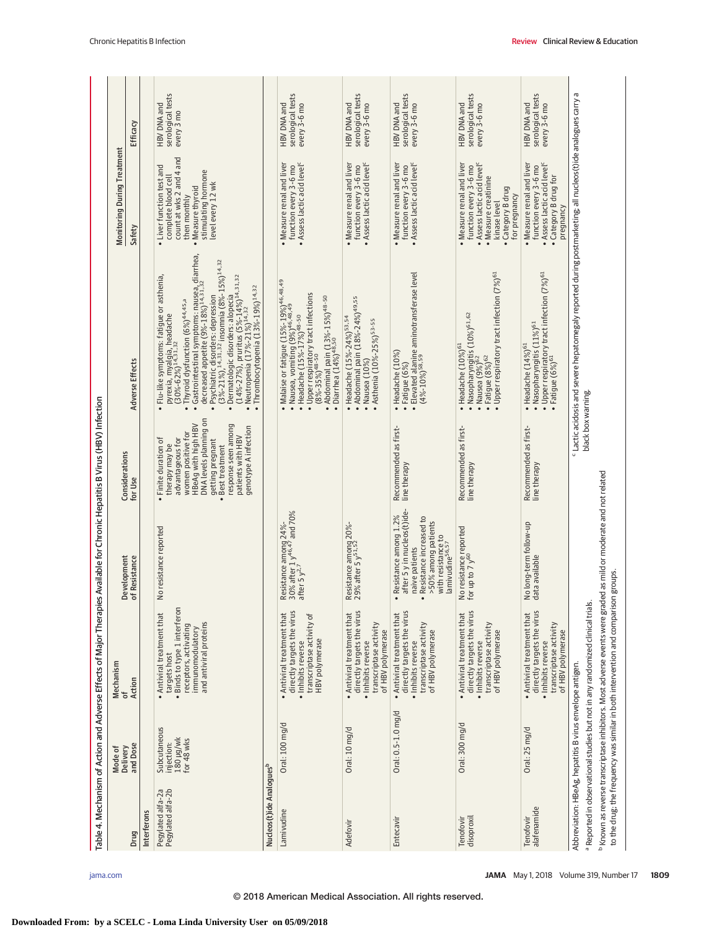|                                        | Mode of                                                  | Table 4. Mechanism of Action and Adverse Effects of Major Therapies Available for Chronic Hepatitis B Virus (HBV) Infection<br>Mechanism                                                                          |                                                                                                                                                                                    |                                                                                                                                                                                                                                           |                                                                                                                                                                                                                                                                                                                                                                                                                                                                                                                                                                                                  |                                                                                                                                                                           |                                                  |
|----------------------------------------|----------------------------------------------------------|-------------------------------------------------------------------------------------------------------------------------------------------------------------------------------------------------------------------|------------------------------------------------------------------------------------------------------------------------------------------------------------------------------------|-------------------------------------------------------------------------------------------------------------------------------------------------------------------------------------------------------------------------------------------|--------------------------------------------------------------------------------------------------------------------------------------------------------------------------------------------------------------------------------------------------------------------------------------------------------------------------------------------------------------------------------------------------------------------------------------------------------------------------------------------------------------------------------------------------------------------------------------------------|---------------------------------------------------------------------------------------------------------------------------------------------------------------------------|--------------------------------------------------|
| Drug                                   | and Dose<br>Delivery                                     | Action<br>ቴ                                                                                                                                                                                                       | Development<br>of Resistance                                                                                                                                                       | Considerations<br>for Use                                                                                                                                                                                                                 | Adverse Effects                                                                                                                                                                                                                                                                                                                                                                                                                                                                                                                                                                                  | <b>Monitoring During Treatment</b><br>Safety                                                                                                                              | Efficacy                                         |
| Interferons                            |                                                          |                                                                                                                                                                                                                   |                                                                                                                                                                                    |                                                                                                                                                                                                                                           |                                                                                                                                                                                                                                                                                                                                                                                                                                                                                                                                                                                                  |                                                                                                                                                                           |                                                  |
| Pegylated alfa-2a<br>Pegylated alfa-2b | Subcutaneous<br>180 µg/wk<br>for 48 wks<br>injection:    | Binds to type 1 interferon<br>• Antiviral treatment that<br>and antiviral proteins<br>receptors, activating<br>immunomodulatory<br>targets host<br>$\bullet$                                                      | No resistance reported                                                                                                                                                             | DNA levels planning on<br>HBeAg with high HBV<br>response seen among<br>genotype A infection<br>women positive for<br>patients with HBV<br>Finite duration of<br>advantageous for<br>getting pregnant<br>therapy may be<br>Best treatment | · Gastrointestinal symptoms: nausea, diarrhea,<br>Psychiatric disorders: depression<br>(3%-21%), <sup>14,31,32</sup> insomnia (8%-15%) <sup>14,32</sup><br>Flu-like symptoms: fatigue or asthenia,<br>$(14\% - 27\%)$ , pruritus $(5\% - 14\%)$ <sup>14, 31, 32</sup><br>Neutropenia (17%-21%) <sup>14, 32</sup><br>decreased appetite (9%-18%) <sup>14,31,32</sup><br>· Thrombocytopenia (13%-19%) <sup>14,32</sup><br>Dermatologic disorders: alopecia<br>Thyroid dysfunction (6%) <sup>44,45,a</sup><br>pyrexia, myalgia, headache<br>(30%-62%) <sup>14,31,32</sup><br>$\bullet$<br>$\bullet$ | count at wks 2 and 4 and<br>• Liver function test and<br>stimulating hormone<br>complete blood cel<br>level every 12 wk<br>• Measure thyroid<br>then monthly              | serological tests<br>HBV DNA and<br>every 3 mo   |
| Nucleos(t)ide Analogues <sup>B</sup>   |                                                          |                                                                                                                                                                                                                   |                                                                                                                                                                                    |                                                                                                                                                                                                                                           |                                                                                                                                                                                                                                                                                                                                                                                                                                                                                                                                                                                                  |                                                                                                                                                                           |                                                  |
| Lamivudine                             | Oral: 100 mg/d                                           | directly targets the virus<br>• Antiviral treatment that<br>transcriptase activity of<br>HBV polymerase<br>· Inhibits reverse                                                                                     | Resistance among 24%-<br>30% after 1 y <sup>46,47</sup> and 70%<br>after 5 y <sup>2,7</sup>                                                                                        |                                                                                                                                                                                                                                           | Malaise or fatigue (15%-19%) <sup>46,48,49</sup><br>• Upper respiratory tract infections<br>(8%-35%) <sup>48-50</sup><br>• Abdominal pain (13%-15%) <sup>48-50</sup><br>• Diarrhea (14%) <sup>48,50</sup><br>· Nausea, vomiting (9%)46,48,49<br>• Headache $(15\% - 17\%)^{48-50}$                                                                                                                                                                                                                                                                                                               | • Assess lactic acid level <sup>c</sup><br>. Measure renal and liver<br>function every 3-6 mo                                                                             | serological tests<br>HBV DNA and<br>every 3-6 mo |
| Adefovir                               | Oral: 10 mg/d                                            | directly targets the virus<br>• Antiviral treatment that<br>transcriptase activity<br>of HBV polymerase<br>· Inhibits reverse                                                                                     | Resistance among 20% <sup>.</sup><br>29% after 5 y <sup>51,52</sup>                                                                                                                |                                                                                                                                                                                                                                           | Abdominal pain (18%-24%) <sup>49,55</sup><br>• Headache (15%-24%) <sup>53,54</sup><br>Asthenia (10%-25%) <sup>53-55</sup><br>$\bullet$ Nausea (10%)                                                                                                                                                                                                                                                                                                                                                                                                                                              | function every 3-6 mo<br>• Assess lactic acid level <sup>c</sup><br>. Measure renal and liver                                                                             | serological tests<br>every 3-6 mo<br>HBV DNA and |
| Entecavir                              | Oral: 0.5-1.0 mg/d                                       | directly targets the virus<br>Antiviral treatment that<br>transcriptase activity<br>of HBV polymerase<br>· Inhibits reverse<br>$\bullet$                                                                          | after 5 y in nucleos(t)ide-<br>Resistance among 1.2%<br>Resistance increased to<br>>50% among patients<br>with resistance to<br>lamivudine <sup>56,57</sup><br>naive patients<br>٠ | Recommended as first-<br>line therapy                                                                                                                                                                                                     | Elevated alanine aminotransferase level<br>(4%-10%) <sup>58,59</sup><br>Headache (10%)<br>· Fatigue (6%)<br>$\bullet$                                                                                                                                                                                                                                                                                                                                                                                                                                                                            | . Measure renal and liver<br>• Assess lactic acid level <sup>c</sup><br>function every 3-6 mo                                                                             | serological tests<br>HBV DNA and<br>every 3-6 mo |
| disoproxil<br>Tenofovir                | Oral: 300 mg/d                                           | directly targets the virus<br>• Antiviral treatment that<br>transcriptase activity<br>of HBV polymerase<br>· Inhibits reverse                                                                                     | No resistance reported<br>for up to 7 y <sup>60</sup>                                                                                                                              | Recommended as first-<br>line therapy                                                                                                                                                                                                     | • Upper respiratory tract infection (7%) <sup>61</sup><br>• Nasopharyngitis (10%) <sup>61,62</sup><br>• Nausea (9%) <sup>62</sup><br>$\bullet$ Headache $(10\%)^{61}$<br>• Fatigue $(8\%)$ <sup>62</sup>                                                                                                                                                                                                                                                                                                                                                                                         | • Assess lactic acid level <sup>c</sup><br>• Measure renal and liver<br>function every 3-6 mo<br>• Measure creatinine<br>Category B drug<br>for pregnancy<br>kinase level | serological tests<br>every 3-6 mo<br>HBV DNA and |
| alafenamide<br>Tenofovi                | Oral: 25 mg/d                                            | directly targets the virus<br>• Antiviral treatment that<br>transcriptase activity<br>of HBV polymerase<br>· Inhibits reverse                                                                                     | No long-term follow-up<br>data available                                                                                                                                           | Recommended as first-<br>line therapy                                                                                                                                                                                                     | • Upper respiratory tract infection $(7\%)^{61}$<br>• Fatigue $(6\%)^{61}$<br>• Nasopharyngitis $(11\%)^{61}$<br>$\bullet$ Headache $(14\%)^{61}$                                                                                                                                                                                                                                                                                                                                                                                                                                                | • Assess lactic acid level <sup>c</sup><br>• Measure renal and liver<br>function every 3-6 mo<br>· Category B drug for<br>pregnancy                                       | serological tests<br>every 3-6 mo<br>HBV DNA and |
|                                        | Abbreviation: HBeAg, hepatitis B virus envelope antigen. | a Reported in observational studies but not in any randomized clinical trials.                                                                                                                                    |                                                                                                                                                                                    | black box warning.                                                                                                                                                                                                                        | <sup>c</sup> Lactic acidosis and severe hepatomegaly reported during postmarketing; all nucleos(t)ide analogues carry a                                                                                                                                                                                                                                                                                                                                                                                                                                                                          |                                                                                                                                                                           |                                                  |
|                                        |                                                          | <sup>b</sup> Known as reverse transcriptase inhibitors. Most adverse events were graded as mild or moderate and not related<br>to the drug; the frequency was similar in both intervention and comparison groups. |                                                                                                                                                                                    |                                                                                                                                                                                                                                           |                                                                                                                                                                                                                                                                                                                                                                                                                                                                                                                                                                                                  |                                                                                                                                                                           |                                                  |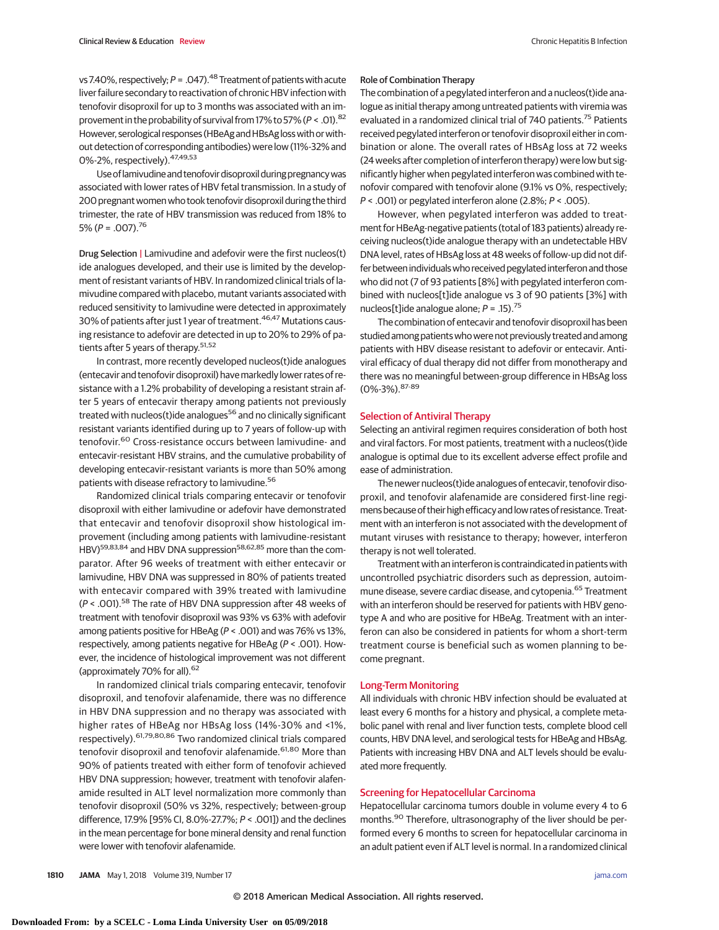vs 7.40%, respectively;  $P = .047$ ).<sup>48</sup> Treatment of patients with acute liver failure secondary to reactivation of chronic HBV infection with tenofovir disoproxil for up to 3 months was associated with an improvement in the probability of survival from 17% to 57% ( $P < .01$ ). <sup>82</sup> However, serological responses (HBeAg and HBsAg loss with or without detection of corresponding antibodies) were low (11%-32% and 0%-2%, respectively).47,49,53

Use of lamivudine and tenofovir disoproxil during pregnancy was associated with lower rates of HBV fetal transmission. In a study of 200 pregnant women who took tenofovir disoproxil during the third trimester, the rate of HBV transmission was reduced from 18% to 5% ( $P = .007$ ).<sup>76</sup>

Drug Selection | Lamivudine and adefovir were the first nucleos(t) ide analogues developed, and their use is limited by the development of resistant variants of HBV. In randomized clinical trials of lamivudine compared with placebo, mutant variants associated with reduced sensitivity to lamivudine were detected in approximately 30% of patients after just 1 year of treatment.<sup>46,47</sup> Mutations causing resistance to adefovir are detected in up to 20% to 29% of patients after 5 years of therapy.<sup>51,52</sup>

In contrast, more recently developed nucleos(t)ide analogues (entecavir and tenofovir disoproxil) havemarkedly lower rates of resistance with a 1.2% probability of developing a resistant strain after 5 years of entecavir therapy among patients not previously treated with nucleos(t)ide analogues<sup>56</sup> and no clinically significant resistant variants identified during up to 7 years of follow-up with tenofovir.<sup>60</sup> Cross-resistance occurs between lamivudine- and entecavir-resistant HBV strains, and the cumulative probability of developing entecavir-resistant variants is more than 50% among patients with disease refractory to lamivudine.<sup>56</sup>

Randomized clinical trials comparing entecavir or tenofovir disoproxil with either lamivudine or adefovir have demonstrated that entecavir and tenofovir disoproxil show histological improvement (including among patients with lamivudine-resistant HBV)<sup>59,83,84</sup> and HBV DNA suppression<sup>58,62,85</sup> more than the comparator. After 96 weeks of treatment with either entecavir or lamivudine, HBV DNA was suppressed in 80% of patients treated with entecavir compared with 39% treated with lamivudine  $(P < .001).$ <sup>58</sup> The rate of HBV DNA suppression after 48 weeks of treatment with tenofovir disoproxil was 93% vs 63% with adefovir among patients positive for HBeAg (P < .001) and was 76% vs 13%, respectively, among patients negative for HBeAg (P < .001). However, the incidence of histological improvement was not different (approximately 70% for all).<sup>62</sup>

In randomized clinical trials comparing entecavir, tenofovir disoproxil, and tenofovir alafenamide, there was no difference in HBV DNA suppression and no therapy was associated with higher rates of HBeAg nor HBsAg loss (14%-30% and <1%, respectively). 61,79,80,86 Two randomized clinical trials compared tenofovir disoproxil and tenofovir alafenamide.<sup>61,80</sup> More than 90% of patients treated with either form of tenofovir achieved HBV DNA suppression; however, treatment with tenofovir alafenamide resulted in ALT level normalization more commonly than tenofovir disoproxil (50% vs 32%, respectively; between-group difference, 17.9% [95% CI, 8.0%-27.7%; P < .001]) and the declines in the mean percentage for bone mineral density and renal function were lower with tenofovir alafenamide.

#### Role of Combination Therapy

The combination of a pegylated interferon and a nucleos(t)ide analogue as initial therapy among untreated patients with viremia was evaluated in a randomized clinical trial of 740 patients.<sup>75</sup> Patients received pegylated interferon or tenofovir disoproxil either in combination or alone. The overall rates of HBsAg loss at 72 weeks (24 weeks after completion of interferon therapy) were low but significantly higher when pegylated interferon was combined with tenofovir compared with tenofovir alone (9.1% vs 0%, respectively; P < .001) or pegylated interferon alone (2.8%; P < .005).

However, when pegylated interferon was added to treatment for HBeAg-negative patients (total of 183 patients) already receiving nucleos(t)ide analogue therapy with an undetectable HBV DNA level, rates of HBsAg loss at 48 weeks of follow-up did not differ between individuals who received pegylated interferon and those who did not (7 of 93 patients [8%] with pegylated interferon combined with nucleos[t]ide analogue vs 3 of 90 patients [3%] with nucleos[t]ide analogue alone;  $P = .15$ .<sup>75</sup>

The combination of entecavir and tenofovir disoproxil has been studied among patients who were not previously treated and among patients with HBV disease resistant to adefovir or entecavir. Antiviral efficacy of dual therapy did not differ from monotherapy and there was no meaningful between-group difference in HBsAg loss (0%-3%).87-89

#### Selection of Antiviral Therapy

Selecting an antiviral regimen requires consideration of both host and viral factors. For most patients, treatment with a nucleos(t)ide analogue is optimal due to its excellent adverse effect profile and ease of administration.

The newer nucleos(t)ide analogues of entecavir, tenofovir disoproxil, and tenofovir alafenamide are considered first-line regimens because of their highefficacy and low rates of resistance. Treatment with an interferon is not associated with the development of mutant viruses with resistance to therapy; however, interferon therapy is not well tolerated.

Treatment with an interferon is contraindicated in patients with uncontrolled psychiatric disorders such as depression, autoimmune disease, severe cardiac disease, and cytopenia.<sup>65</sup> Treatment with an interferon should be reserved for patients with HBV genotype A and who are positive for HBeAg. Treatment with an interferon can also be considered in patients for whom a short-term treatment course is beneficial such as women planning to become pregnant.

#### Long-Term Monitoring

All individuals with chronic HBV infection should be evaluated at least every 6 months for a history and physical, a complete metabolic panel with renal and liver function tests, complete blood cell counts, HBV DNA level, and serological tests for HBeAg and HBsAg. Patients with increasing HBV DNA and ALT levels should be evaluated more frequently.

## Screening for Hepatocellular Carcinoma

Hepatocellular carcinoma tumors double in volume every 4 to 6 months.<sup>90</sup> Therefore, ultrasonography of the liver should be performed every 6 months to screen for hepatocellular carcinoma in an adult patient even if ALT level is normal. In a randomized clinical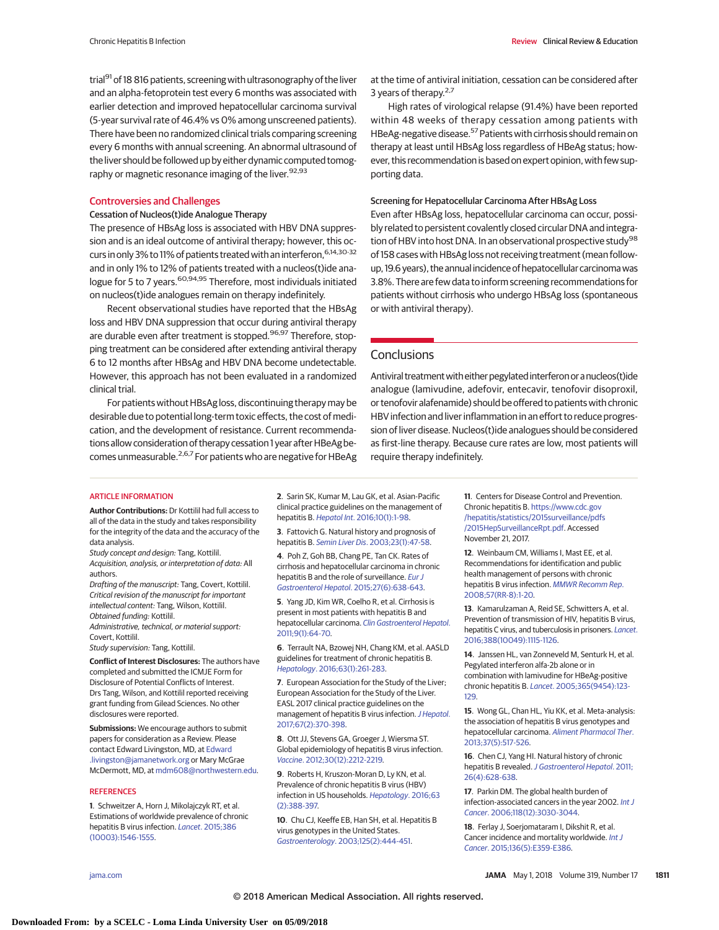trial<sup>91</sup> of 18 816 patients, screening with ultrasonography of the liver and an alpha-fetoprotein test every 6 months was associated with earlier detection and improved hepatocellular carcinoma survival (5-year survival rate of 46.4% vs 0% among unscreened patients). There have been no randomized clinical trials comparing screening every 6 months with annual screening. An abnormal ultrasound of the liver should be followed up by either dynamic computed tomography or magnetic resonance imaging of the liver.<sup>92,93</sup>

#### Controversies and Challenges

#### Cessation of Nucleos(t)ide Analogue Therapy

The presence of HBsAg loss is associated with HBV DNA suppression and is an ideal outcome of antiviral therapy; however, this occurs in only 3% to 11% of patients treated with an interferon, 6,14,30-32 and in only 1% to 12% of patients treated with a nucleos(t)ide analogue for 5 to 7 years.<sup>60,94,95</sup> Therefore, most individuals initiated on nucleos(t)ide analogues remain on therapy indefinitely.

Recent observational studies have reported that the HBsAg loss and HBV DNA suppression that occur during antiviral therapy are durable even after treatment is stopped.<sup>96,97</sup> Therefore, stopping treatment can be considered after extending antiviral therapy 6 to 12 months after HBsAg and HBV DNA become undetectable. However, this approach has not been evaluated in a randomized clinical trial.

For patients without HBsAg loss, discontinuing therapy may be desirable due to potential long-term toxic effects, the cost of medication, and the development of resistance. Current recommendations allow consideration of therapy cessation 1 year after HBeAg becomes unmeasurable.<sup>2,6,7</sup> For patients who are negative for HBeAg at the time of antiviral initiation, cessation can be considered after 3 years of therapy.<sup>2,7</sup>

High rates of virological relapse (91.4%) have been reported within 48 weeks of therapy cessation among patients with HBeAg-negative disease.<sup>57</sup> Patients with cirrhosis should remain on therapy at least until HBsAg loss regardless of HBeAg status; however, this recommendation is based on expert opinion, with few supporting data.

### Screening for Hepatocellular Carcinoma After HBsAg Loss

Even after HBsAg loss, hepatocellular carcinoma can occur, possibly related to persistent covalently closed circular DNA and integration of HBV into host DNA. In an observational prospective study<sup>98</sup> of 158 cases with HBsAg loss not receiving treatment (mean followup, 19.6 years), the annual incidence of hepatocellular carcinomawas 3.8%. There are few data to inform screening recommendations for patients without cirrhosis who undergo HBsAg loss (spontaneous or with antiviral therapy).

## **Conclusions**

Antiviral treatment with either pegylated interferon or a nucleos(t)ide analogue (lamivudine, adefovir, entecavir, tenofovir disoproxil, or tenofovir alafenamide) should be offered to patients with chronic HBV infection and liver inflammation in an effort to reduce progression of liver disease. Nucleos(t)ide analogues should be considered as first-line therapy. Because cure rates are low, most patients will require therapy indefinitely.

#### **ARTICLE INFORMATION**

**Author Contributions:** Dr Kottilil had full access to all of the data in the study and takes responsibility for the integrity of the data and the accuracy of the data analysis.

Study concept and design: Tang, Kottilil. Acquisition, analysis, or interpretation of data: All authors.

Drafting of the manuscript: Tang, Covert, Kottilil. Critical revision of the manuscript for important intellectual content: Tang, Wilson, Kottilil.

Obtained funding: Kottilil.

Administrative, technical, or material support: Covert, Kottilil.

Study supervision: Tang, Kottilil.

**Conflict of Interest Disclosures:** The authors have completed and submitted the ICMJE Form for Disclosure of Potential Conflicts of Interest. Drs Tang, Wilson, and Kottilil reported receiving grant funding from Gilead Sciences. No other disclosures were reported.

**Submissions:** We encourage authors to submit papers for consideration as a Review. Please contact Edward Livingston, MD, at [Edward](mailto:Edward.livingston@jamanetwork.org) [.livingston@jamanetwork.org](mailto:Edward.livingston@jamanetwork.org) or Mary McGrae McDermott, MD, at [mdm608@northwestern.edu.](mailto:mdm608@northwestern.edu)

#### REFERENCES

**1**. Schweitzer A, Horn J, Mikolajczyk RT, et al. Estimations of worldwide prevalence of chronic hepatitis B virus infection. Lancet[. 2015;386](https://www.ncbi.nlm.nih.gov/pubmed/26231459) [\(10003\):1546-1555.](https://www.ncbi.nlm.nih.gov/pubmed/26231459)

**2**. Sarin SK, Kumar M, Lau GK, et al. Asian-Pacific clinical practice guidelines on the management of hepatitis B. Hepatol Int[. 2016;10\(1\):1-98.](https://www.ncbi.nlm.nih.gov/pubmed/26563120)

**3**. Fattovich G. Natural history and prognosis of hepatitis B. Semin Liver Dis[. 2003;23\(1\):47-58.](https://www.ncbi.nlm.nih.gov/pubmed/12616450)

**4**. Poh Z, Goh BB, Chang PE, Tan CK. Rates of cirrhosis and hepatocellular carcinoma in chronic hepatitis B and the role of surveillance. [Eur J](https://www.ncbi.nlm.nih.gov/pubmed/25831135) [Gastroenterol Hepatol](https://www.ncbi.nlm.nih.gov/pubmed/25831135). 2015;27(6):638-643.

**5**. Yang JD, Kim WR, Coelho R, et al. Cirrhosis is present in most patients with hepatitis B and hepatocellular carcinoma. [Clin Gastroenterol Hepatol](https://www.ncbi.nlm.nih.gov/pubmed/20831903). [2011;9\(1\):64-70.](https://www.ncbi.nlm.nih.gov/pubmed/20831903)

**6**. Terrault NA, Bzowej NH, Chang KM, et al. AASLD guidelines for treatment of chronic hepatitis B. Hepatology[. 2016;63\(1\):261-283.](https://www.ncbi.nlm.nih.gov/pubmed/26566064)

**7**. European Association for the Study of the Liver; European Association for the Study of the Liver. EASL 2017 clinical practice guidelines on the management of hepatitis B virus infection. [J Hepatol](https://www.ncbi.nlm.nih.gov/pubmed/28427875). [2017;67\(2\):370-398.](https://www.ncbi.nlm.nih.gov/pubmed/28427875)

**8**. Ott JJ, Stevens GA, Groeger J, Wiersma ST. Global epidemiology of hepatitis B virus infection. Vaccine[. 2012;30\(12\):2212-2219.](https://www.ncbi.nlm.nih.gov/pubmed/22273662)

**9**. Roberts H, Kruszon-Moran D, Ly KN, et al. Prevalence of chronic hepatitis B virus (HBV) infection in US households. [Hepatology](https://www.ncbi.nlm.nih.gov/pubmed/26251317). 2016;63 [\(2\):388-397.](https://www.ncbi.nlm.nih.gov/pubmed/26251317)

**10**. Chu CJ, Keeffe EB, Han SH, et al. Hepatitis B virus genotypes in the United States. Gastroenterology[. 2003;125\(2\):444-451.](https://www.ncbi.nlm.nih.gov/pubmed/12891547)

**11**. Centers for Disease Control and Prevention. Chronic hepatitis B. [https://www.cdc.gov](https://www.cdc.gov/hepatitis/statistics/2015surveillance/pdfs/2015HepSurveillanceRpt.pdf) [/hepatitis/statistics/2015surveillance/pdfs](https://www.cdc.gov/hepatitis/statistics/2015surveillance/pdfs/2015HepSurveillanceRpt.pdf) [/2015HepSurveillanceRpt.pdf.](https://www.cdc.gov/hepatitis/statistics/2015surveillance/pdfs/2015HepSurveillanceRpt.pdf) Accessed November 21, 2017.

**12**. Weinbaum CM, Williams I, Mast EE, et al. Recommendations for identification and public health management of persons with chronic hepatitis B virus infection. [MMWR Recomm Rep](https://www.ncbi.nlm.nih.gov/pubmed/18802412). [2008;57\(RR-8\):1-20.](https://www.ncbi.nlm.nih.gov/pubmed/18802412)

**13**. Kamarulzaman A, Reid SE, Schwitters A, et al. Prevention of transmission of HIV, hepatitis B virus, hepatitis C virus, and tuberculosis in prisoners. [Lancet](https://www.ncbi.nlm.nih.gov/pubmed/27427456). [2016;388\(10049\):1115-1126.](https://www.ncbi.nlm.nih.gov/pubmed/27427456)

**14**. Janssen HL, van Zonneveld M, Senturk H, et al. Pegylated interferon alfa-2b alone or in combination with lamivudine for HBeAg-positive chronic hepatitis B. Lancet[. 2005;365\(9454\):123-](https://www.ncbi.nlm.nih.gov/pubmed/15639293) [129.](https://www.ncbi.nlm.nih.gov/pubmed/15639293)

**15**. Wong GL, Chan HL, Yiu KK, et al. Meta-analysis: the association of hepatitis B virus genotypes and hepatocellular carcinoma. [Aliment Pharmacol Ther](https://www.ncbi.nlm.nih.gov/pubmed/23305043). [2013;37\(5\):517-526.](https://www.ncbi.nlm.nih.gov/pubmed/23305043)

**16**. Chen CJ, Yang HI. Natural history of chronic hepatitis B revealed. [J Gastroenterol Hepatol](https://www.ncbi.nlm.nih.gov/pubmed/21323729). 2011; [26\(4\):628-638.](https://www.ncbi.nlm.nih.gov/pubmed/21323729)

**17**. Parkin DM. The global health burden of infection-associated cancers in the year 2002. [Int J](https://www.ncbi.nlm.nih.gov/pubmed/16404738) Cancer[. 2006;118\(12\):3030-3044.](https://www.ncbi.nlm.nih.gov/pubmed/16404738)

**18**. Ferlay J, Soerjomataram I, Dikshit R, et al. Cancer incidence and mortality worldwide. [Int J](https://www.ncbi.nlm.nih.gov/pubmed/25220842) Cancer[. 2015;136\(5\):E359-E386.](https://www.ncbi.nlm.nih.gov/pubmed/25220842)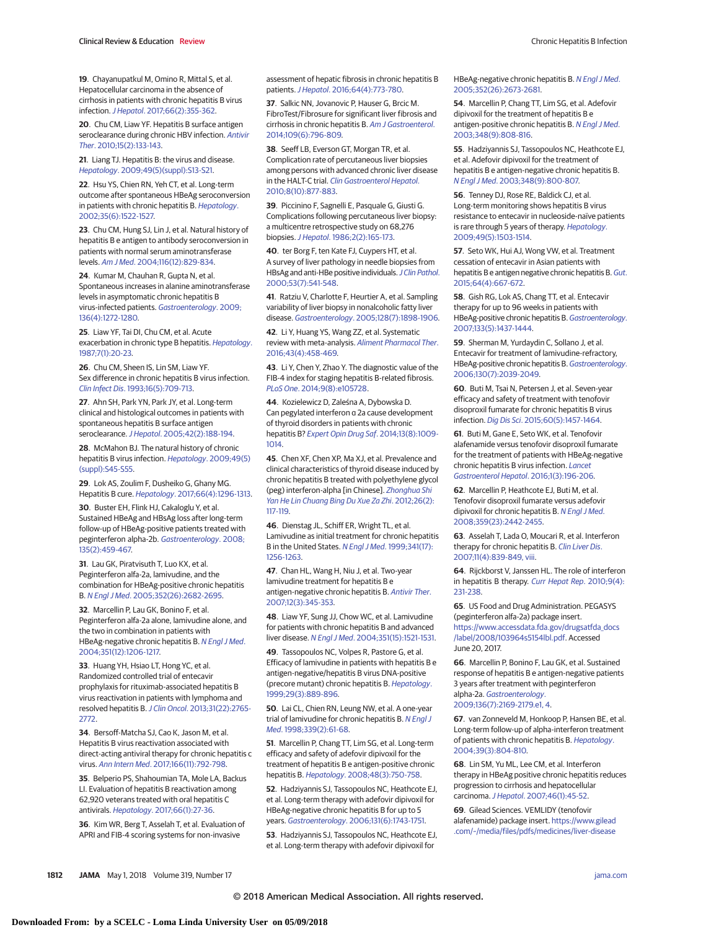**19**. Chayanupatkul M, Omino R, Mittal S, et al. Hepatocellular carcinoma in the absence of cirrhosis in patients with chronic hepatitis B virus infection.J Hepatol[. 2017;66\(2\):355-362.](https://www.ncbi.nlm.nih.gov/pubmed/27693539)

**20**. Chu CM, Liaw YF. Hepatitis B surface antigen seroclearance during chronic HBV infection. [Antivir](https://www.ncbi.nlm.nih.gov/pubmed/20386068) Ther[. 2010;15\(2\):133-143.](https://www.ncbi.nlm.nih.gov/pubmed/20386068)

**21**. Liang TJ. Hepatitis B: the virus and disease. Hepatology[. 2009;49\(5\)\(suppl\):S13-S21.](https://www.ncbi.nlm.nih.gov/pubmed/19399811)

**22**. Hsu YS, Chien RN, Yeh CT, et al. Long-term outcome after spontaneous HBeAg seroconversion in patients with chronic hepatitis B. [Hepatology](https://www.ncbi.nlm.nih.gov/pubmed/12029639). [2002;35\(6\):1522-1527.](https://www.ncbi.nlm.nih.gov/pubmed/12029639)

**23**. Chu CM, Hung SJ, Lin J, et al. Natural history of hepatitis B e antigen to antibody seroconversion in patients with normal serum aminotransferase levels. Am J Med[. 2004;116\(12\):829-834.](https://www.ncbi.nlm.nih.gov/pubmed/15178498)

**24**. Kumar M, Chauhan R, Gupta N, et al. Spontaneous increases in alanine aminotransferase levels in asymptomatic chronic hepatitis B virus-infected patients. [Gastroenterology](https://www.ncbi.nlm.nih.gov/pubmed/19208347). 2009; [136\(4\):1272-1280.](https://www.ncbi.nlm.nih.gov/pubmed/19208347)

**25**. Liaw YF, Tai DI, Chu CM, et al. Acute exacerbation in chronic type B hepatitis. [Hepatology](https://www.ncbi.nlm.nih.gov/pubmed/2433203). [1987;7\(1\):20-23.](https://www.ncbi.nlm.nih.gov/pubmed/2433203)

**26**. Chu CM, Sheen IS, Lin SM, Liaw YF. Sex difference in chronic hepatitis B virus infection. Clin Infect Dis[. 1993;16\(5\):709-713.](https://www.ncbi.nlm.nih.gov/pubmed/8507764)

**27**. Ahn SH, Park YN, Park JY, et al. Long-term clinical and histological outcomes in patients with spontaneous hepatitis B surface antigen seroclearance. J Hepatol[. 2005;42\(2\):188-194.](https://www.ncbi.nlm.nih.gov/pubmed/15664243)

**28**. McMahon BJ. The natural history of chronic hepatitis B virus infection. Hepatology[. 2009;49\(5\)](https://www.ncbi.nlm.nih.gov/pubmed/19399792) [\(suppl\):S45-S55.](https://www.ncbi.nlm.nih.gov/pubmed/19399792)

**29**. Lok AS, Zoulim F, Dusheiko G, Ghany MG. Hepatitis B cure. Hepatology[. 2017;66\(4\):1296-1313.](https://www.ncbi.nlm.nih.gov/pubmed/28762522)

**30**. Buster EH, Flink HJ, Cakaloglu Y, et al. Sustained HBeAg and HBsAg loss after long-term follow-up of HBeAg-positive patients treated with peginterferon alpha-2b. [Gastroenterology](https://www.ncbi.nlm.nih.gov/pubmed/18585385). 2008; [135\(2\):459-467.](https://www.ncbi.nlm.nih.gov/pubmed/18585385)

**31**. Lau GK, Piratvisuth T, Luo KX, et al. Peginterferon alfa-2a, lamivudine, and the combination for HBeAg-positive chronic hepatitis B. N Engl J Med[. 2005;352\(26\):2682-2695.](https://www.ncbi.nlm.nih.gov/pubmed/15987917)

**32**. Marcellin P, Lau GK, Bonino F, et al. Peginterferon alfa-2a alone, lamivudine alone, and the two in combination in patients with HBeAg-negative chronic hepatitis B. [N Engl J Med](https://www.ncbi.nlm.nih.gov/pubmed/15371578). [2004;351\(12\):1206-1217.](https://www.ncbi.nlm.nih.gov/pubmed/15371578)

**33**. Huang YH, Hsiao LT, Hong YC, et al. Randomized controlled trial of entecavir prophylaxis for rituximab-associated hepatitis B virus reactivation in patients with lymphoma and resolved hepatitis B.J Clin Oncol[. 2013;31\(22\):2765-](https://www.ncbi.nlm.nih.gov/pubmed/23775967) [2772.](https://www.ncbi.nlm.nih.gov/pubmed/23775967)

**34**. Bersoff-Matcha SJ, Cao K, Jason M, et al. Hepatitis B virus reactivation associated with direct-acting antiviral therapy for chronic hepatitis c virus. Ann Intern Med[. 2017;166\(11\):792-798.](https://www.ncbi.nlm.nih.gov/pubmed/20087968)

**35**. Belperio PS, Shahoumian TA, Mole LA, Backus LI. Evaluation of hepatitis B reactivation among 62,920 veterans treated with oral hepatitis C antivirals. Hepatology[. 2017;66\(1\):27-36.](https://www.ncbi.nlm.nih.gov/pubmed/28240789)

**36**. Kim WR, Berg T, Asselah T, et al. Evaluation of APRI and FIB-4 scoring systems for non-invasive

assessment of hepatic fibrosis in chronic hepatitis B patients.J Hepatol[. 2016;64\(4\):773-780.](https://www.ncbi.nlm.nih.gov/pubmed/26626497)

**37**. Salkic NN, Jovanovic P, Hauser G, Brcic M. FibroTest/Fibrosure for significant liver fibrosis and cirrhosis in chronic hepatitis B. [Am J Gastroenterol](https://www.ncbi.nlm.nih.gov/pubmed/24535095). [2014;109\(6\):796-809.](https://www.ncbi.nlm.nih.gov/pubmed/24535095)

**38**. Seeff LB, Everson GT, Morgan TR, et al. Complication rate of percutaneous liver biopsies among persons with advanced chronic liver disease in the HALT-C trial. [Clin Gastroenterol Hepatol](https://www.ncbi.nlm.nih.gov/pubmed/20362695). [2010;8\(10\):877-883.](https://www.ncbi.nlm.nih.gov/pubmed/20362695)

**39**. Piccinino F, Sagnelli E, Pasquale G, Giusti G. Complications following percutaneous liver biopsy: a multicentre retrospective study on 68,276 biopsies.J Hepatol[. 1986;2\(2\):165-173.](https://www.ncbi.nlm.nih.gov/pubmed/3958472)

**40**. ter Borg F, ten Kate FJ, Cuypers HT, et al. A survey of liver pathology in needle biopsies from HBsAg and anti-HBe positive individuals. [J Clin Pathol](https://www.ncbi.nlm.nih.gov/pubmed/10961179). [2000;53\(7\):541-548.](https://www.ncbi.nlm.nih.gov/pubmed/10961179)

**41**. Ratziu V, Charlotte F, Heurtier A, et al. Sampling variability of liver biopsy in nonalcoholic fatty liver disease. Gastroenterology[. 2005;128\(7\):1898-1906.](https://www.ncbi.nlm.nih.gov/pubmed/15940625)

**42**. Li Y, Huang YS, Wang ZZ, et al. Systematic review with meta-analysis. [Aliment Pharmacol Ther](https://www.ncbi.nlm.nih.gov/pubmed/26669632). [2016;43\(4\):458-469.](https://www.ncbi.nlm.nih.gov/pubmed/26669632)

**43**. Li Y, Chen Y, Zhao Y. The diagnostic value of the FIB-4 index for staging hepatitis B-related fibrosis. PLoS One[. 2014;9\(8\):e105728.](https://www.ncbi.nlm.nih.gov/pubmed/25165830)

**44**. Kozielewicz D, Zaleśna A, Dybowska D. Can pegylated interferon α 2a cause development of thyroid disorders in patients with chronic hepatitis B? [Expert Opin Drug Saf](https://www.ncbi.nlm.nih.gov/pubmed/24930451). 2014;13(8):1009- [1014.](https://www.ncbi.nlm.nih.gov/pubmed/24930451)

**45**. Chen XF, Chen XP, Ma XJ, et al. Prevalence and clinical characteristics of thyroid disease induced by chronic hepatitis B treated with polyethylene glycol (peg) interferon-alpha [in Chinese]. [Zhonghua Shi](https://www.ncbi.nlm.nih.gov/pubmed/23002550) [Yan He Lin Chuang Bing Du Xue Za Zhi](https://www.ncbi.nlm.nih.gov/pubmed/23002550). 2012;26(2): [117-119.](https://www.ncbi.nlm.nih.gov/pubmed/23002550)

**46**. Dienstag JL, Schiff ER, Wright TL, et al. Lamivudine as initial treatment for chronic hepatitis B in the United States. N Engl J Med[. 1999;341\(17\):](https://www.ncbi.nlm.nih.gov/pubmed/10528035) [1256-1263.](https://www.ncbi.nlm.nih.gov/pubmed/10528035)

**47**. Chan HL, Wang H, Niu J, et al. Two-year lamivudine treatment for hepatitis B e antigen-negative chronic hepatitis B. [Antivir Ther](https://www.ncbi.nlm.nih.gov/pubmed/17591024). [2007;12\(3\):345-353.](https://www.ncbi.nlm.nih.gov/pubmed/17591024)

**48**. Liaw YF, Sung JJ, Chow WC, et al. Lamivudine for patients with chronic hepatitis B and advanced liver disease. N Engl J Med[. 2004;351\(15\):1521-1531.](https://www.ncbi.nlm.nih.gov/pubmed/15470215)

**49**. Tassopoulos NC, Volpes R, Pastore G, et al. Efficacy of lamivudine in patients with hepatitis B e antigen-negative/hepatitis B virus DNA-positive (precore mutant) chronic hepatitis B. [Hepatology](https://www.ncbi.nlm.nih.gov/pubmed/10051494). [1999;29\(3\):889-896.](https://www.ncbi.nlm.nih.gov/pubmed/10051494)

**50**. Lai CL, Chien RN, Leung NW, et al. A one-year trial of lamivudine for chronic hepatitis B. [N Engl J](https://www.ncbi.nlm.nih.gov/pubmed/9654535) Med[. 1998;339\(2\):61-68.](https://www.ncbi.nlm.nih.gov/pubmed/9654535)

**51**. Marcellin P, Chang TT, Lim SG, et al. Long-term efficacy and safety of adefovir dipivoxil for the treatment of hepatitis B e antigen-positive chronic hepatitis B. Hepatology[. 2008;48\(3\):750-758.](https://www.ncbi.nlm.nih.gov/pubmed/18752330)

**52**. Hadziyannis SJ, Tassopoulos NC, Heathcote EJ, et al. Long-term therapy with adefovir dipivoxil for HBeAg-negative chronic hepatitis B for up to 5 years. Gastroenterology[. 2006;131\(6\):1743-1751.](https://www.ncbi.nlm.nih.gov/pubmed/17087951)

**53**. Hadziyannis SJ, Tassopoulos NC, Heathcote EJ, et al. Long-term therapy with adefovir dipivoxil for

HBeAg-negative chronic hepatitis B. [N Engl J Med](https://www.ncbi.nlm.nih.gov/pubmed/15987916). [2005;352\(26\):2673-2681.](https://www.ncbi.nlm.nih.gov/pubmed/15987916)

**54**. Marcellin P, Chang TT, Lim SG, et al. Adefovir dipivoxil for the treatment of hepatitis B e antigen-positive chronic hepatitis B. [N Engl J Med](https://www.ncbi.nlm.nih.gov/pubmed/12606735). [2003;348\(9\):808-816.](https://www.ncbi.nlm.nih.gov/pubmed/12606735)

**55**. Hadziyannis SJ, Tassopoulos NC, Heathcote EJ, et al. Adefovir dipivoxil for the treatment of hepatitis B e antigen-negative chronic hepatitis B. N Engl J Med[. 2003;348\(9\):800-807.](https://www.ncbi.nlm.nih.gov/pubmed/12606734)

**56**. Tenney DJ, Rose RE, Baldick CJ, et al. Long-term monitoring shows hepatitis B virus resistance to entecavir in nucleoside-naïve patients is rare through 5 years of therapy. [Hepatology](https://www.ncbi.nlm.nih.gov/pubmed/19280622). [2009;49\(5\):1503-1514.](https://www.ncbi.nlm.nih.gov/pubmed/19280622)

**57**. Seto WK, Hui AJ, Wong VW, et al. Treatment cessation of entecavir in Asian patients with hepatitis B e antigen negative chronic hepatitis B. [Gut](https://www.ncbi.nlm.nih.gov/pubmed/24833635). [2015;64\(4\):667-672.](https://www.ncbi.nlm.nih.gov/pubmed/24833635)

**58**. Gish RG, Lok AS, Chang TT, et al. Entecavir therapy for up to 96 weeks in patients with HBeAg-positive chronic hepatitis B. [Gastroenterology](https://www.ncbi.nlm.nih.gov/pubmed/17983800). [2007;133\(5\):1437-1444.](https://www.ncbi.nlm.nih.gov/pubmed/17983800)

**59**. Sherman M, Yurdaydin C, Sollano J, et al. Entecavir for treatment of lamivudine-refractory, HBeAg-positive chronic hepatitis B. [Gastroenterology](https://www.ncbi.nlm.nih.gov/pubmed/16762627). [2006;130\(7\):2039-2049.](https://www.ncbi.nlm.nih.gov/pubmed/16762627)

**60**. Buti M, Tsai N, Petersen J, et al. Seven-year efficacy and safety of treatment with tenofovir disoproxil fumarate for chronic hepatitis B virus infection. Dig Dis Sci[. 2015;60\(5\):1457-1464.](https://www.ncbi.nlm.nih.gov/pubmed/25532501)

**61**. Buti M, Gane E, Seto WK, et al. Tenofovir alafenamide versus tenofovir disoproxil fumarate for the treatment of patients with HBeAg-negative chronic hepatitis B virus infection. [Lancet](https://www.ncbi.nlm.nih.gov/pubmed/28404092) [Gastroenterol Hepatol](https://www.ncbi.nlm.nih.gov/pubmed/28404092). 2016;1(3):196-206.

**62**. Marcellin P, Heathcote EJ, Buti M, et al. Tenofovir disoproxil fumarate versus adefovir dipivoxil for chronic hepatitis B. [N Engl J Med](https://www.ncbi.nlm.nih.gov/pubmed/19052126). [2008;359\(23\):2442-2455.](https://www.ncbi.nlm.nih.gov/pubmed/19052126)

**63**. Asselah T, Lada O, Moucari R, et al. Interferon therapy for chronic hepatitis B. [Clin Liver Dis](https://www.ncbi.nlm.nih.gov/pubmed/17981231). [2007;11\(4\):839-849, viii.](https://www.ncbi.nlm.nih.gov/pubmed/17981231)

**64**. Rijckborst V, Janssen HL. The role of interferon in hepatitis B therapy. [Curr Hepat Rep](https://www.ncbi.nlm.nih.gov/pubmed/20949114). 2010;9(4): [231-238.](https://www.ncbi.nlm.nih.gov/pubmed/20949114)

**65**. US Food and Drug Administration. PEGASYS (peginterferon alfa-2a) package insert. [https://www.accessdata.fda.gov/drugsatfda\\_docs](https://www.accessdata.fda.gov/drugsatfda_docs/label/2008/103964s5154lbl.pdf) [/label/2008/103964s5154lbl.pdf.](https://www.accessdata.fda.gov/drugsatfda_docs/label/2008/103964s5154lbl.pdf) Accessed June 20, 2017.

**66**. Marcellin P, Bonino F, Lau GK, et al. Sustained response of hepatitis B e antigen-negative patients 3 years after treatment with peginterferon alpha-2a. [Gastroenterology](https://www.ncbi.nlm.nih.gov/pubmed/19303414). [2009;136\(7\):2169-2179.e1, 4.](https://www.ncbi.nlm.nih.gov/pubmed/19303414)

**67**. van Zonneveld M, Honkoop P, Hansen BE, et al. Long-term follow-up of alpha-interferon treatment of patients with chronic hepatitis B. [Hepatology](https://www.ncbi.nlm.nih.gov/pubmed/14999700).

[2004;39\(3\):804-810.](https://www.ncbi.nlm.nih.gov/pubmed/14999700)

**68**. Lin SM, Yu ML, Lee CM, et al. Interferon therapy in HBeAg positive chronic hepatitis reduces progression to cirrhosis and hepatocellular carcinoma.J Hepatol[. 2007;46\(1\):45-52.](https://www.ncbi.nlm.nih.gov/pubmed/17107734)

**69**. Gilead Sciences. VEMLIDY (tenofovir alafenamide) package insert. [https://www.gilead](https://www.gilead.com/~/media/files/pdfs/medicines/liver-disease/vemlidy/vemlidy_pi.pdf?la=en) [.com/~/media/files/pdfs/medicines/liver-disease](https://www.gilead.com/~/media/files/pdfs/medicines/liver-disease/vemlidy/vemlidy_pi.pdf?la=en)